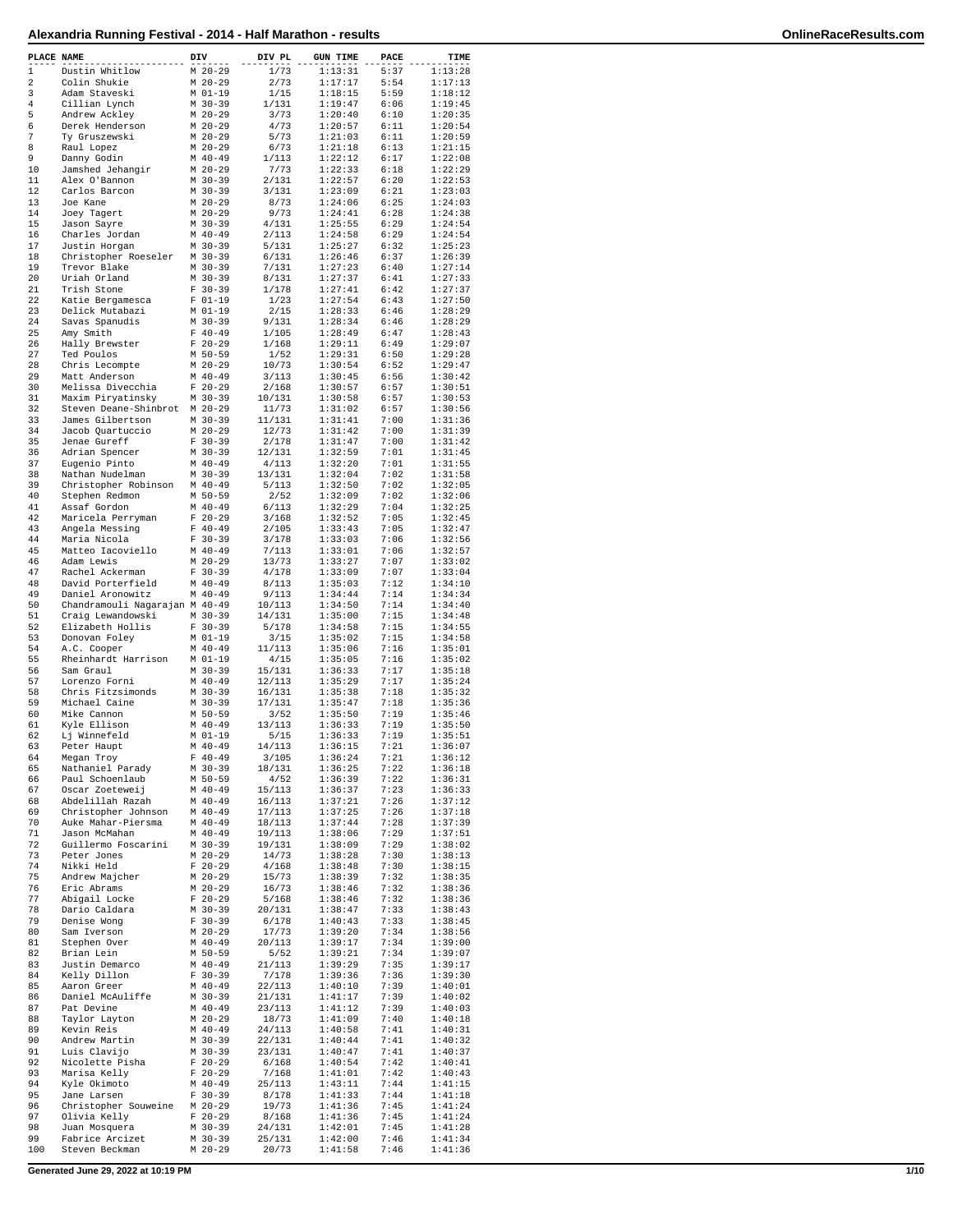| Alexandria Running Festival - 2014 - Half Marathon - results |                        |                |                    |              |                    | OnlineRaceResults.com |
|--------------------------------------------------------------|------------------------|----------------|--------------------|--------------|--------------------|-----------------------|
| PLACE NAME                                                   | DIV                    | DIV PL         | <b>GUN TIME</b>    | PACE         | TIME               |                       |
| 1<br>Dustin Whitlow                                          | $M$ 20-29              | 1/73           | 1:13:31            | 5:37         | 1:13:28            |                       |
| 2<br>Colin Shukie                                            | $M$ 20-29              | 2/73           | 1:17:17            | 5:54         | 1:17:13            |                       |
| 3<br>Adam Staveski                                           | M 01-19                | 1/15           | 1:18:15            | 5:59         | 1:18:12            |                       |
| 4<br>Cillian Lynch                                           | M 30-39                | 1/131          | 1:19:47            | 6:06         | 1:19:45            |                       |
| 5<br>Andrew Ackley                                           | M 20-29                | 3/73           | 1:20:40            | 6:10         | 1:20:35            |                       |
| 6<br>Derek Henderson                                         | M 20-29                | 4/73           | 1:20:57            | 6:11         | 1:20:54            |                       |
| 7<br>Ty Gruszewski                                           | M 20-29                | 5/73           | 1:21:03            | 6:11         | 1:20:59            |                       |
| 8<br>Raul Lopez<br>9<br>Danny Godin                          | $M$ 20-29<br>$M$ 40-49 | 6/73<br>1/113  | 1:21:18<br>1:22:12 | 6:13<br>6:17 | 1:21:15<br>1:22:08 |                       |
| 10<br>Jamshed Jehangir                                       | $M$ 20-29              | 7/73           | 1:22:33            | 6:18         | 1:22:29            |                       |
| 11<br>Alex O'Bannon                                          | $M$ 30-39              | 2/131          | 1:22:57            | 6:20         | 1:22:53            |                       |
| 12<br>Carlos Barcon                                          | $M$ 30-39              | 3/131          | 1:23:09            | 6:21         | 1:23:03            |                       |
| 13<br>Joe Kane                                               | $M$ 20-29              | 8/73           | 1:24:06            | 6:25         | 1:24:03            |                       |
| 14<br>Joey Tagert                                            | $M$ 20-29              | 9/73           | 1:24:41            | 6:28         | 1:24:38            |                       |
| 15<br>Jason Sayre                                            | $M$ 30-39              | 4/131          | 1:25:55            | 6:29         | 1:24:54            |                       |
| 16<br>Charles Jordan                                         | $M$ 40-49              | 2/113          | 1:24:58            | 6:29         | 1:24:54            |                       |
| 17<br>Justin Horgan                                          | $M$ 30-39              | 5/131          | 1:25:27            | 6:32         | 1:25:23            |                       |
| 18<br>Christopher Roeseler                                   | M 30-39                | 6/131          | 1:26:46            | 6:37         | 1:26:39            |                       |
| 19<br>Trevor Blake                                           | $M$ 30-39              | 7/131          | 1:27:23            | 6:40         | 1:27:14            |                       |
| 2.0<br>Uriah Orland                                          | $M$ 30-39              | 8/131          | 1:27:37            | 6:41         | 1:27:33            |                       |
| 21<br>Trish Stone<br>22                                      | $F 30-39$<br>$F 01-19$ | 1/178<br>1/23  | 1:27:41<br>1:27:54 | 6:42<br>6:43 | 1:27:37<br>1:27:50 |                       |
| Katie Bergamesca<br>23<br>Delick Mutabazi                    | $M$ 01-19              | 2/15           | 1:28:33            | 6:46         | 1:28:29            |                       |
| 2.4<br>Savas Spanudis                                        | $M$ 30-39              | 9/131          | 1:28:34            | 6:46         | 1:28:29            |                       |
| 25<br>Amy Smith                                              | $F 40-49$              | 1/105          | 1:28:49            | 6:47         | 1:28:43            |                       |
| 26<br>Hally Brewster                                         | $F 20-29$              | 1/168          | 1:29:11            | 6:49         | 1:29:07            |                       |
| 27<br>Ted Poulos                                             | M 50-59                | 1/52           | 1:29:31            | 6:50         | 1:29:28            |                       |
| 28<br>Chris Lecompte                                         | $M$ 20-29              | 10/73          | 1:30:54            | 6:52         | 1:29:47            |                       |
| 29<br>Matt Anderson                                          | M 40-49                | 3/113          | 1:30:45            | 6:56         | 1:30:42            |                       |
| 30<br>Melissa Divecchia                                      | $F 20-29$              | 2/168          | 1:30:57            | 6:57         | 1:30:51            |                       |
| 31<br>Maxim Piryatinsky                                      | $M$ 30-39              | 10/131         | 1:30:58            | 6:57         | 1:30:53            |                       |
| 32<br>Steven Deane-Shinbrot M 20-29                          |                        | 11/73          | 1:31:02            | 6:57         | 1:30:56            |                       |
| 33<br>James Gilbertson                                       | $M$ 30-39              | 11/131         | 1:31:41            | 7:00         | 1:31:36            |                       |
| 34<br>Jacob Quartuccio<br>Jenae Gureff<br>35                 | $M$ 20-29<br>$F 30-39$ | 12/73<br>2/178 | 1:31:42<br>1:31:47 | 7:00<br>7:00 | 1:31:39<br>1:31:42 |                       |
| Adrian Spencer<br>36                                         | $M$ 30-39              | 12/131         | 1:32:59            | 7:01         | 1:31:45            |                       |
| 37<br>Eugenio Pinto                                          | $M$ 40-49              | 4/113          | 1:32:20            | 7:01         | 1:31:55            |                       |
| 38<br>Nathan Nudelman                                        | $M$ 30-39              | 13/131         | 1:32:04            | 7:02         | 1:31:58            |                       |
| 39<br>Christopher Robinson                                   | $M$ 40-49              | 5/113          | 1:32:50            | 7:02         | 1:32:05            |                       |
| 40<br>Stephen Redmon                                         | M 50-59                | 2/52           | 1:32:09            | 7:02         | 1:32:06            |                       |
| Assaf Gordon<br>41                                           | $M$ 40-49              | 6/113          | 1:32:29            | 7:04         | 1:32:25            |                       |
| 42<br>Maricela Perryman                                      | $F$ 20-29              | 3/168          | 1:32:52            | 7:05         | 1:32:45            |                       |
| 43<br>Angela Messing                                         | $F 40-49$              | 2/105          | 1:33:43            | 7:05         | 1:32:47            |                       |
| Maria Nicola<br>44                                           | $F 30 - 39$            | 3/178          | 1:33:03            | 7:06         | 1:32:56            |                       |
| 45<br>Matteo Iacoviello                                      | $M$ 40-49              | 7/113          | 1:33:01            | 7:06         | 1:32:57            |                       |
| Adam Lewis<br>46                                             | $M$ 20-29<br>$F 30-39$ | 13/73          | 1:33:27<br>1:33:09 | 7:07<br>7:07 | 1:33:02            |                       |
| 47<br>Rachel Ackerman<br>48<br>David Porterfield             | M 40-49                | 4/178<br>8/113 | 1:35:03            | 7:12         | 1:33:04<br>1:34:10 |                       |
| 49<br>Daniel Aronowitz                                       | $M$ 40-49              | 9/113          | 1:34:44            | 7:14         | 1:34:34            |                       |
| 50<br>Chandramouli Nagarajan M 40-49                         |                        | 10/113         | 1:34:50            | 7:14         | 1:34:40            |                       |
| 51<br>Craig Lewandowski                                      | M 30-39                | 14/131         | 1:35:00            | 7:15         | 1:34:48            |                       |
| 52<br>Elizabeth Hollis                                       | $F 30-39$              | 5/178          | 1:34:58            | 7:15         | 1:34:55            |                       |
| 53<br>Donovan Foley                                          | M 01-19                | 3/15           | 1:35:02            | 7:15         | 1:34:58            |                       |
| 54<br>A.C. Cooper                                            | $M$ 40-49              | 11/113         | 1:35:06            | 7:16         | 1:35:01            |                       |
| 55<br>Rheinhardt Harrison                                    | M 01-19                | 4/15           | 1:35:05            | 7:16         | 1:35:02            |                       |
| 56<br>Sam Graul                                              | $M$ 30-39              | 15/131         | 1:36:33            | 7:17         | 1:35:18            |                       |
| 57<br>Lorenzo Forni                                          | $M$ 40-49              | 12/113         | 1:35:29            | 7:17         | 1:35:24            |                       |
| 58<br>Chris Fitzsimonds                                      | M 30-39                | 16/131         | 1:35:38            | 7:18         | 1:35:32            |                       |
| 59<br>Michael Caine                                          | $M$ 30-39              | 17/131         | 1:35:47            | 7:18         | 1:35:36            |                       |
| 60<br>Mike Cannon<br>61<br>Kyle Ellison                      | M 50-59<br>$M$ 40-49   | 3/52<br>13/113 | 1:35:50<br>1:36:33 | 7:19<br>7:19 | 1:35:46<br>1:35:50 |                       |
| 62<br>Lj Winnefeld                                           | M 01-19                | 5/15           | 1:36:33            | 7:19         | 1:35:51            |                       |
| 63<br>Peter Haupt                                            | $M$ 40-49              | 14/113         | 1:36:15            | 7:21         | 1:36:07            |                       |
| 64<br>Megan Troy                                             | $F 40-49$              | 3/105          | 1:36:24            | 7:21         | 1:36:12            |                       |
| 65<br>Nathaniel Parady                                       | $M$ 30-39              | 18/131         | 1:36:25            | 7:22         | 1:36:18            |                       |
| 66<br>Paul Schoenlaub                                        | M 50-59                | 4/52           | 1:36:39            | 7:22         | 1:36:31            |                       |
| 67<br>Oscar Zoeteweij                                        | $M$ 40-49              | 15/113         | 1:36:37            | 7:23         | 1:36:33            |                       |
| 68<br>Abdelillah Razah                                       | $M$ 40-49              | 16/113         | 1:37:21            | 7:26         | 1:37:12            |                       |

68 Abdelillah Razah M 40-49 16/113 1:37:21 7:26 1:37:12 69 Christopher Johnson M 40-49 17/113 1:37:25 7:26 1:37:18 70 Auke Mahar-Piersma M 40-49 18/113 1:37:44 7:28 1:37:39 71 Jason McMahan M 40-49 19/113 1:38:06 7:29 1:37:51 72 Guillermo Foscarini M 30-39 19/131 1:38:09 7:29 1:38:02

82 Brian Lein M 50-59 5/52 1:39:21 7:34 1:39:07 83 Justin Demarco M 40-49 21/113 1:39:29 7:35 1:39:17 84 Kelly Dillon F 30-39 7/178 1:39:36 7:36 1:39:30 85 Aaron Greer M 40-49 22/113 1:40:10 7:39 1:40:01 86 Daniel McAuliffe M 30-39 21/131 1:41:17 7:39 1:40:02 87 Pat Devine M 40-49 23/113 1:41:12 7:39 1:40:03 88 Taylor Layton M 20-29 18/73 1:41:09 7:40 1:40:18 89 Kevin Reis M 40-49 24/113 1:40:58 7:41 1:40:31 90 Andrew Martin M 30-39 22/131 1:40:44 7:41 1:40:32 91 Luis Clavijo M 30-39 23/131 1:40:47 7:41 1:40:37 92 Nicolette Pisha F 20-29 6/168 1:40:54 7:42 1:40:41 93 Marisa Kelly F 20-29 7/168 1:41:01 7:42 1:40:43 94 Kyle Okimoto M 40-49 25/113 1:43:11 7:44 1:41:15 Jane Larsen F 30-39 8/178 1:41:33 7:44<br>Christopher Souweine M 20-29 19/73 1:41:36 7:45 96 Christopher Souweine M 20-29 19/73 1:41:36 7:45 1:41:24 97 Olivia Kelly F 20-29 8/168 1:41:36 7:45 1:41:24 98 Juan Mosquera M 30-39 24/131 1:42:01 7:45 1:41:28 99 Fabrice Arcizet M 30-39 25/131 1:42:00 7:46 1:41:34

81 Stephen Over M 40-49 20/113 1:39:17 7:34<br>82 Brian Lein M 50-59 5/52 1:39:21 7:34

73 Peter Jones M 20-29 14/73 1:38:28 7:30 1:38:13 74 Nikki Held F 20-29 4/168 1:38:48 7:30 1:38:15 Andrew Majcher M 20-29 15/73 1:38:39 7:32<br>
Eric Abrams M 20-29 16/73 1:38:46 7:32 76 Eric Abrams M 20-29 16/73 1:38:46 7:32 1:38:36 77 Abigail Locke F 20-29 5/168 1:38:46 7:32 1:38:36 78 Dario Caldara M 30-39 20/131 1:38:47 7:33 1:38:43 79 Denise Wong F 30-39 6/178 1:40:43 7:33 1:38:45 80 Sam Iverson M 20-29 17/73 1:39:20 7:34 1:38:56<br>81 Stephen Over M 40-49 20/113 1:39:17 7:34 1:39:00<br>82 Brian Lein M 50-59 5/52 1:39:21 7:34 1:39:07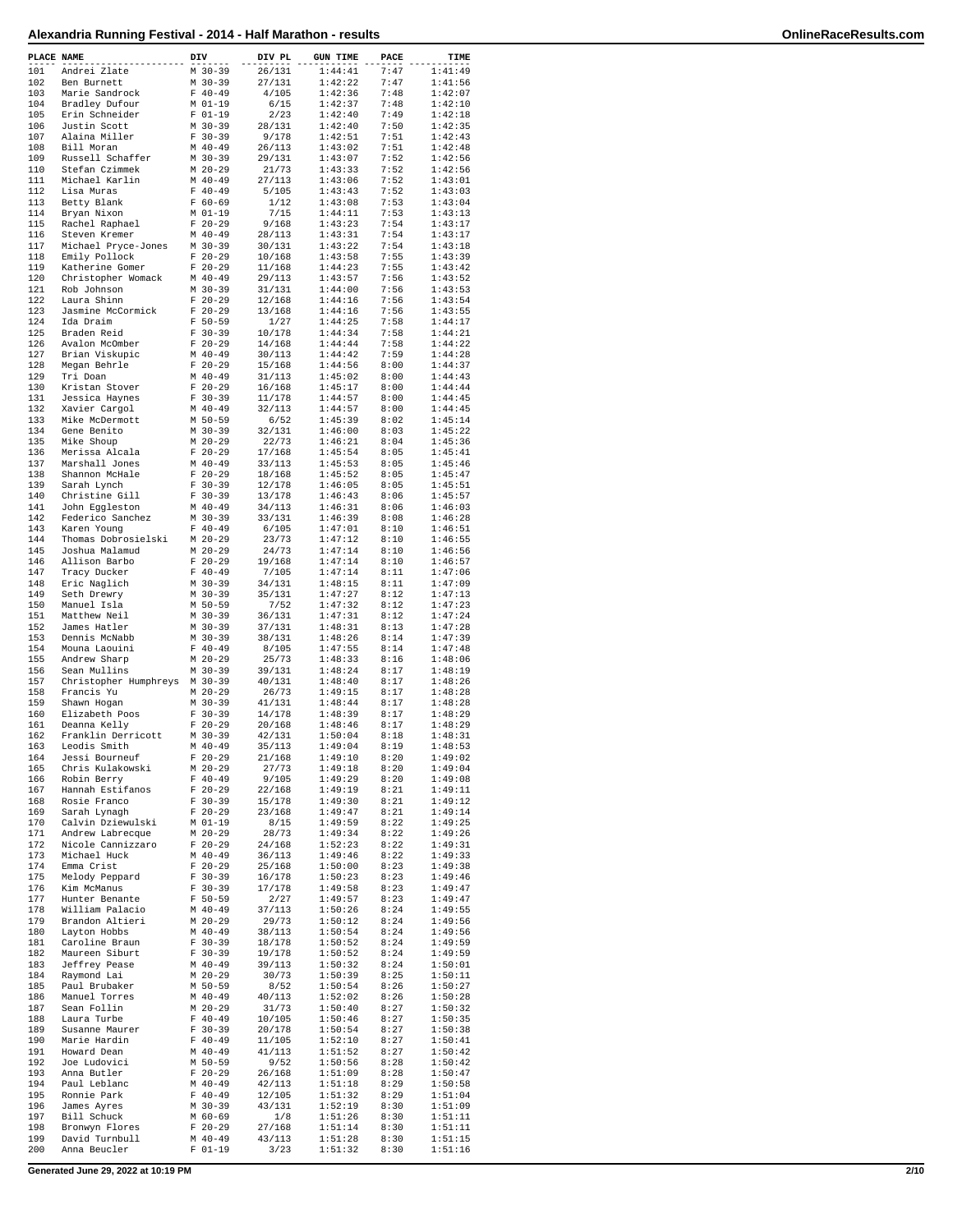| PLACE NAME |                                       | DIV |                        | DIV PL           | <b>GUN TIME</b>    | PACE         | TIME               |
|------------|---------------------------------------|-----|------------------------|------------------|--------------------|--------------|--------------------|
| 101        | Andrei Zlate                          |     | $M$ 30-39              | 26/131           | 1:44:41            | 7:47         | 1:41:49            |
| 102        | Ben Burnett                           |     | $M$ 30-39              | 27/131           | 1:42:22            | 7:47         | 1:41:56            |
| 103        | Marie Sandrock                        |     | $F 40-49$              | 4/105            | 1:42:36            | 7:48         | 1:42:07            |
| 104<br>105 | Bradley Dufour<br>Erin Schneider      |     | M 01-19<br>$F 01-19$   | 6/15<br>2/23     | 1:42:37<br>1:42:40 | 7:48<br>7:49 | 1:42:10<br>1:42:18 |
| 106        | Justin Scott                          |     | $M$ 30-39              | 28/131           | 1:42:40            | 7:50         | 1:42:35            |
| 107        | Alaina Miller                         |     | $F 30-39$              | 9/178            | 1:42:51            | 7:51         | 1:42:43            |
| 108        | Bill Moran                            |     | $M$ 40-49              | 26/113           | 1:43:02            | 7:51         | 1:42:48            |
| 109        | Russell Schaffer                      |     | $M$ 30-39              | 29/131           | 1:43:07            | 7:52         | 1:42:56            |
| 110<br>111 | Stefan Czimmek<br>Michael Karlin      |     | $M$ 20-29<br>$M$ 40-49 | 21/73<br>27/113  | 1:43:33<br>1:43:06 | 7:52<br>7:52 | 1:42:56<br>1:43:01 |
| 112        | Lisa Muras                            |     | $F 40-49$              | 5/105            | 1:43:43            | 7:52         | 1:43:03            |
| 113        | Betty Blank                           |     | $F 60-69$              | 1/12             | 1:43:08            | 7:53         | 1:43:04            |
| 114        | Bryan Nixon                           |     | $M$ 01-19              | 7/15             | 1:44:11            | 7:53         | 1:43:13            |
| 115<br>116 | Rachel Raphael<br>Steven Kremer       |     | $F$ 20-29<br>$M$ 40-49 | 9/168<br>28/113  | 1:43:23<br>1:43:31 | 7:54<br>7:54 | 1:43:17<br>1:43:17 |
| 117        | Michael Pryce-Jones                   |     | $M$ 30-39              | 30/131           | 1:43:22            | 7:54         | 1:43:18            |
| 118        | Emily Pollock                         |     | $F 20-29$              | 10/168           | 1:43:58            | 7:55         | 1:43:39            |
| 119        | Katherine Gomer                       |     | $F$ 20-29              | 11/168           | 1:44:23            | 7:55         | 1:43:42            |
| 120        | Christopher Womack                    |     | $M$ 40-49              | 29/113           | 1:43:57            | 7:56         | 1:43:52            |
| 121<br>122 | Rob Johnson<br>Laura Shinn            |     | $M$ 30-39<br>$F 20-29$ | 31/131<br>12/168 | 1:44:00<br>1:44:16 | 7:56<br>7:56 | 1:43:53<br>1:43:54 |
| 123        | Jasmine McCormick                     |     | $F$ 20-29              | 13/168           | 1:44:16            | 7:56         | 1:43:55            |
| 124        | Ida Draim                             |     | $F 50 - 59$            | 1/27             | 1:44:25            | 7:58         | 1:44:17            |
| 125        | Braden Reid                           |     | $F 30-39$              | 10/178           | 1:44:34            | 7:58         | 1:44:21            |
| 126        | Avalon McOmber                        |     | $F$ 20-29              | 14/168           | 1:44:44            | 7:58         | 1:44:22            |
| 127<br>128 | Brian Viskupic<br>Megan Behrle        |     | $M$ 40-49<br>$F 20-29$ | 30/113<br>15/168 | 1:44:42<br>1:44:56 | 7:59<br>8:00 | 1:44:28<br>1:44:37 |
| 129        | Tri Doan                              |     | $M$ 40-49              | 31/113           | 1:45:02            | 8:00         | 1:44:43            |
| 130        | Kristan Stover                        |     | $F 20-29$              | 16/168           | 1:45:17            | 8:00         | 1:44:44            |
| 131        | Jessica Haynes                        |     | $F 30-39$              | 11/178           | 1:44:57            | 8:00         | 1:44:45            |
| 132        | Xavier Cargol                         |     | $M$ 40-49              | 32/113           | 1:44:57            | 8:00         | 1:44:45            |
| 133<br>134 | Mike McDermott<br>Gene Benito         |     | $M$ 50-59<br>$M$ 30-39 | 6/52<br>32/131   | 1:45:39<br>1:46:00 | 8:02<br>8:03 | 1:45:14<br>1:45:22 |
| 135        | Mike Shoup                            |     | $M$ 20-29              | 22/73            | 1:46:21            | 8:04         | 1:45:36            |
| 136        | Merissa Alcala                        |     | $F 20-29$              | 17/168           | 1:45:54            | 8:05         | 1:45:41            |
| 137        | Marshall Jones                        |     | $M$ 40-49              | 33/113           | 1:45:53            | 8:05         | 1:45:46            |
| 138        | Shannon McHale                        |     | $F$ 20-29              | 18/168           | 1:45:52            | 8:05         | 1:45:47            |
| 139<br>140 | Sarah Lynch                           |     | $F 30-39$<br>$F 30-39$ | 12/178           | 1:46:05<br>1:46:43 | 8:05<br>8:06 | 1:45:51<br>1:45:57 |
| 141        | Christine Gill<br>John Eggleston      |     | $M$ 40-49              | 13/178<br>34/113 | 1:46:31            | 8:06         | 1:46:03            |
| 142        | Federico Sanchez                      |     | $M$ 30-39              | 33/131           | 1:46:39            | 8:08         | 1:46:28            |
| 143        | Karen Young                           |     | $F 40-49$              | 6/105            | 1:47:01            | 8:10         | 1:46:51            |
| 144        | Thomas Dobrosielski                   |     | $M$ 20-29              | 23/73            | 1:47:12            | 8:10         | 1:46:55            |
| 145<br>146 | Joshua Malamud                        |     | $M$ 20-29<br>$F$ 20-29 | 24/73<br>19/168  | 1:47:14<br>1:47:14 | 8:10<br>8:10 | 1:46:56<br>1:46:57 |
| 147        | Allison Barbo<br>Tracy Ducker         |     | $F 40-49$              | 7/105            | 1:47:14            | 8:11         | 1:47:06            |
| 148        | Eric Naglich                          |     | $M$ 30-39              | 34/131           | 1:48:15            | 8:11         | 1:47:09            |
| 149        | Seth Drewry                           |     | $M$ 30-39              | 35/131           | 1:47:27            | 8:12         | 1:47:13            |
| 150        | Manuel Isla                           |     | M 50-59                | 7/52             | 1:47:32            | 8:12         | 1:47:23            |
| 151<br>152 | Matthew Neil<br>James Hatler          |     | $M$ 30-39<br>$M$ 30-39 | 36/131<br>37/131 | 1:47:31<br>1:48:31 | 8:12<br>8:13 | 1:47:24<br>1:47:28 |
| 153        | Dennis McNabb                         |     | $M$ 30-39              | 38/131           | 1:48:26            | 8:14         | 1:47:39            |
| 154        | Mouna Laouini                         |     | $F 40-49$              | 8/105            | 1:47:55            | 8:14         | 1:47:48            |
| 155        | Andrew Sharp                          |     | $M$ 20-29              | 25/73            | 1:48:33            | 8:16         | 1:48:06            |
| 156        | Sean Mullins                          |     | $M$ 30-39              | 39/131           | 1:48:24            | 8:17         | 1:48:19            |
| 157<br>158 | Christopher Humphreys                 |     | $M$ 30-39<br>$M$ 20-29 | 40/131<br>26/73  | 1:48:40<br>1:49:15 | 8:17<br>8:17 | 1:48:26<br>1:48:28 |
| 159        | Francis Yu<br>Shawn Hogan             |     | $M$ 30-39              | 41/131           | 1:48:44            | 8:17         | 1:48:28            |
| 160        | Elizabeth Poos                        |     | $F 30-39$              | 14/178           | 1:48:39            | 8:17         | 1:48:29            |
| 161        | Deanna Kelly                          |     | $F$ 20-29              | 20/168           | 1:48:46            | 8:17         | 1:48:29            |
| 162        | Franklin Derricott                    |     | $M$ 30-39              | 42/131           | 1:50:04            | 8:18         | 1:48:31            |
| 163        | Leodis Smith<br>Jessi Bourneuf        |     | $M$ 40-49              | 35/113           | 1:49:04            | 8:19         | 1:48:53            |
| 164<br>165 | Chris Kulakowski                      |     | $F 20-29$<br>M 20-29   | 21/168<br>27/73  | 1:49:10<br>1:49:18 | 8:20<br>8:20 | 1:49:02<br>1:49:04 |
| 166        | Robin Berry                           |     | $F 40-49$              | 9/105            | 1:49:29            | 8:20         | 1:49:08            |
| 167        | Hannah Estifanos                      |     | $F 20-29$              | 22/168           | 1:49:19            | 8:21         | 1:49:11            |
| 168        | Rosie Franco                          |     | $F 30-39$              | 15/178           | 1:49:30            | 8:21         | 1:49:12            |
| 169        | Sarah Lynagh                          |     | $F 20-29$              | 23/168           | 1:49:47            | 8:21         | 1:49:14            |
| 170<br>171 | Calvin Dziewulski<br>Andrew Labrecque |     | M 01-19<br>$M$ 20-29   | 8/15<br>28/73    | 1:49:59<br>1:49:34 | 8:22<br>8:22 | 1:49:25<br>1:49:26 |
| 172        | Nicole Cannizzaro                     |     | $F$ 20-29              | 24/168           | 1:52:23            | 8:22         | 1:49:31            |
| 173        | Michael Huck                          |     | $M$ 40-49              | 36/113           | 1:49:46            | 8:22         | 1:49:33            |
| 174        | Emma Crist                            |     | $F 20-29$              | 25/168           | 1:50:00            | 8:23         | 1:49:38            |
| 175<br>176 | Melody Peppard<br>Kim McManus         |     | $F 30-39$<br>$F 30-39$ | 16/178<br>17/178 | 1:50:23<br>1:49:58 | 8:23<br>8:23 | 1:49:46<br>1:49:47 |
| 177        | Hunter Benante                        |     | $F 50-59$              | 2/27             | 1:49:57            | 8:23         | 1:49:47            |
| 178        | William Palacio                       |     | $M$ 40-49              | 37/113           | 1:50:26            | 8:24         | 1:49:55            |
| 179        | Brandon Altieri                       |     | $M$ 20-29              | 29/73            | 1:50:12            | 8:24         | 1:49:56            |
| 180        | Layton Hobbs                          |     | $M$ 40-49              | 38/113           | 1:50:54            | 8:24         | 1:49:56            |
| 181<br>182 | Caroline Braun<br>Maureen Siburt      |     | $F$ 30-39<br>F 30-39   | 18/178<br>19/178 | 1:50:52<br>1:50:52 | 8:24<br>8:24 | 1:49:59<br>1:49:59 |
| 183        | Jeffrey Pease                         |     | M 40-49                | 39/113           | 1:50:32            | 8:24         | 1:50:01            |
| 184        | Raymond Lai                           |     | M 20-29                | 30/73            | 1:50:39            | 8:25         | 1:50:11            |
| 185        | Paul Brubaker                         |     | M 50-59                | 8/52             | 1:50:54            | 8:26         | 1:50:27            |
| 186        | Manuel Torres                         |     | $M$ 40-49              | 40/113           | 1:52:02            | 8:26         | 1:50:28            |
| 187        | Sean Follin                           |     | M 20-29                | 31/73            | 1:50:40            | 8:27         | 1:50:32            |
| 188<br>189 | Laura Turbe<br>Susanne Maurer         |     | $F 40-49$<br>$F 30-39$ | 10/105<br>20/178 | 1:50:46<br>1:50:54 | 8:27<br>8:27 | 1:50:35<br>1:50:38 |
| 190        | Marie Hardin                          |     | $F 40-49$              | 11/105           | 1:52:10            | 8:27         | 1:50:41            |
| 191        | Howard Dean                           |     | $M$ 40-49              | 41/113           | 1:51:52            | 8:27         | 1:50:42            |
| 192        | Joe Ludovici                          |     | M 50-59                | 9/52             | 1:50:56            | 8:28         | 1:50:42            |
| 193        | Anna Butler                           |     | $F$ 20-29              | 26/168           | 1:51:09            | 8:28         | 1:50:47            |
| 194<br>195 | Paul Leblanc<br>Ronnie Park           |     | $M$ 40-49<br>$F 40-49$ | 42/113<br>12/105 | 1:51:18<br>1:51:32 | 8:29<br>8:29 | 1:50:58<br>1:51:04 |
| 196        | James Ayres                           |     | $M$ 30-39              | 43/131           | 1:52:19            | 8:30         | 1:51:09            |
| 197        | Bill Schuck                           |     | M 60-69                | 1/8              | 1:51:26            | 8:30         | 1:51:11            |
| 198        | Bronwyn Flores                        |     | $F 20-29$              | 27/168           | 1:51:14            | 8:30         | 1:51:11            |
| 199        | David Turnbull                        |     | $M$ 40-49              | 43/113           | 1:51:28            | 8:30         | 1:51:15            |
| 200        | Anna Beucler                          |     | $F 01-19$              | 3/23             | 1:51:32            | 8:30         | 1:51:16            |

**Generated June 29, 2022 at 10:19 PM 2/10**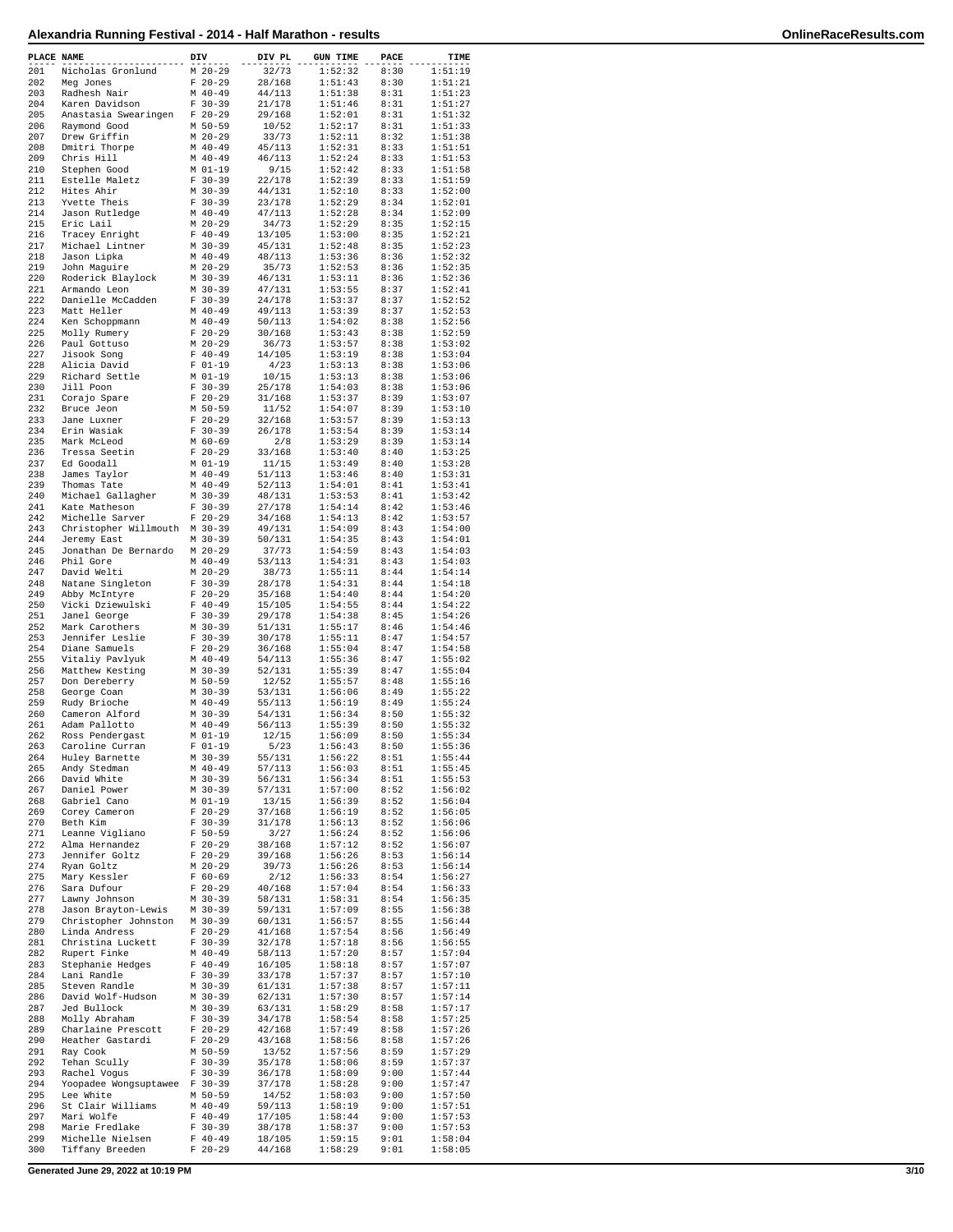| PLACE NAME |                                    | DIV                    | DIV PL           | <b>GUN TIME</b>    | PACE         | TIME               |
|------------|------------------------------------|------------------------|------------------|--------------------|--------------|--------------------|
| 201        | Nicholas Gronlund                  | $M$ 20-29              | 32/73            | 1:52:32            | 8:30         | 1:51:19            |
| 202        | Meg Jones                          | $F 20-29$              | 28/168           | 1:51:43            | 8:30         | 1:51:21            |
| 203        | Radhesh Nair                       | $M$ 40-49              | 44/113           | 1:51:38            | 8:31         | 1:51:23            |
| 204        | Karen Davidson                     | $F 30-39$              | 21/178           | 1:51:46            | 8:31         | 1:51:27            |
| 205        | Anastasia Swearingen               | $F$ 20-29              | 29/168           | 1:52:01            | 8:31         | 1:51:32            |
| 206<br>207 | Raymond Good<br>Drew Griffin       | M 50-59<br>$M$ 20-29   | 10/52<br>33/73   | 1:52:17<br>1:52:11 | 8:31<br>8:32 | 1:51:33<br>1:51:38 |
| 208        | Dmitri Thorpe                      | $M$ 40-49              | 45/113           | 1:52:31            | 8:33         | 1:51:51            |
| 209        | Chris Hill                         | $M$ 40-49              | 46/113           | 1:52:24            | 8:33         | 1:51:53            |
| 210        | Stephen Good                       | M 01-19                | 9/15             | 1:52:42            | 8:33         | 1:51:58            |
| 211        | Estelle Maletz                     | $F 30-39$              | 22/178           | 1:52:39            | 8:33         | 1:51:59            |
| 212        | Hites Ahir                         | $M$ 30-39              | 44/131           | 1:52:10            | 8:33         | 1:52:00            |
| 213        | Yvette Theis                       | $F 30-39$              | 23/178           | 1:52:29            | 8:34         | 1:52:01            |
| 214        | Jason Rutledge                     | $M$ 40-49              | 47/113           | 1:52:28            | 8:34         | 1:52:09            |
| 215        | Eric Lail                          | $M$ 20-29              | 34/73            | 1:52:29            | 8:35         | 1:52:15            |
| 216        | Tracey Enright                     | $F 40-49$              | 13/105           | 1:53:00            | 8:35         | 1:52:21            |
| 217        | Michael Lintner                    | $M$ 30-39              | 45/131           | 1:52:48            | 8:35         | 1:52:23            |
| 218        | Jason Lipka                        | $M$ 40-49              | 48/113           | 1:53:36            | 8:36         | 1:52:32            |
| 219        | John Maguire                       | $M$ 20-29              | 35/73            | 1:52:53            | 8:36         | 1:52:35            |
| 220<br>221 | Roderick Blaylock<br>Armando Leon  | $M$ 30-39<br>$M$ 30-39 | 46/131<br>47/131 | 1:53:11<br>1:53:55 | 8:36<br>8:37 | 1:52:36<br>1:52:41 |
| 222        | Danielle McCadden                  | $F 30-39$              | 24/178           | 1:53:37            | 8:37         | 1:52:52            |
| 223        | Matt Heller                        | $M$ 40-49              | 49/113           | 1:53:39            | 8:37         | 1:52:53            |
| 224        | Ken Schoppmann                     | $M$ 40-49              | 50/113           | 1:54:02            | 8:38         | 1:52:56            |
| 225        | Molly Rumery                       | $F 20-29$              | 30/168           | 1:53:43            | 8:38         | 1:52:59            |
| 226        | Paul Gottuso                       | $M$ 20-29              | 36/73            | 1:53:57            | 8:38         | 1:53:02            |
| 227        | Jisook Song                        | $F 40-49$              | 14/105           | 1:53:19            | 8:38         | 1:53:04            |
| 228        | Alicia David                       | $F 01-19$              | 4/23             | 1:53:13            | 8:38         | 1:53:06            |
| 229        | Richard Settle                     | M 01-19                | 10/15            | 1:53:13            | 8:38         | 1:53:06            |
| 230        | Jill Poon                          | $F 30-39$              | 25/178           | 1:54:03            | 8:38         | 1:53:06            |
| 231        | Corajo Spare                       | $F 20-29$              | 31/168           | 1:53:37            | 8:39         | 1:53:07            |
| 232        | Bruce Jeon                         | $M$ 50-59              | 11/52            | 1:54:07            | 8:39         | 1:53:10            |
| 233        | Jane Luxner                        | $F$ 20-29              | 32/168<br>26/178 | 1:53:57            | 8:39         | 1:53:13<br>1:53:14 |
| 234<br>235 | Erin Wasiak<br>Mark McLeod         | $F 30-39$<br>$M$ 60-69 | 2/8              | 1:53:54<br>1:53:29 | 8:39         | 1:53:14            |
| 236        | Tressa Seetin                      | $F$ 20-29              | 33/168           | 1:53:40            | 8:39<br>8:40 | 1:53:25            |
| 237        | Ed Goodall                         | $M$ 01-19              | 11/15            | 1:53:49            | 8:40         | 1:53:28            |
| 238        | James Taylor                       | $M$ 40-49              | 51/113           | 1:53:46            | 8:40         | 1:53:31            |
| 239        | Thomas Tate                        | $M$ 40-49              | 52/113           | 1:54:01            | 8:41         | 1:53:41            |
| 240        | Michael Gallagher                  | $M$ 30-39              | 48/131           | 1:53:53            | 8:41         | 1:53:42            |
| 241        | Kate Matheson                      | $F 30-39$              | 27/178           | 1:54:14            | 8:42         | 1:53:46            |
| 242        | Michelle Sarver                    | $F$ 20-29              | 34/168           | 1:54:13            | 8:42         | 1:53:57            |
| 243        | Christopher Willmouth M 30-39      |                        | 49/131           | 1:54:09            | 8:43         | 1:54:00            |
| 244        | Jeremy East                        | $M$ 30-39              | 50/131           | 1:54:35            | 8:43         | 1:54:01            |
| 245        | Jonathan De Bernardo               | $M$ 20-29              | 37/73            | 1:54:59            | 8:43         | 1:54:03            |
| 246        | Phil Gore                          | $M$ 40-49              | 53/113           | 1:54:31            | 8:43         | 1:54:03            |
| 247        | David Welti                        | $M$ 20-29              | 38/73            | 1:55:11            | 8:44         | 1:54:14            |
| 248        | Natane Singleton                   | $F 30-39$              | 28/178           | 1:54:31            | 8:44         | 1:54:18            |
| 249<br>250 | Abby McIntyre                      | $F 20-29$<br>$F 40-49$ | 35/168           | 1:54:40<br>1:54:55 | 8:44<br>8:44 | 1:54:20<br>1:54:22 |
| 251        | Vicki Dziewulski<br>Janel George   | $F 30-39$              | 15/105<br>29/178 | 1:54:38            | 8:45         | 1:54:26            |
| 252        | Mark Carothers                     | M 30-39                | 51/131           | 1:55:17            | 8:46         | 1:54:46            |
| 253        | Jennifer Leslie                    | $F 30-39$              | 30/178           | 1:55:11            | 8:47         | 1:54:57            |
| 254        | Diane Samuels                      | $F$ 20-29              | 36/168           | 1:55:04            | 8:47         | 1:54:58            |
| 255        | Vitaliy Pavlyuk                    | $M$ 40-49              | 54/113           | 1:55:36            | 8:47         | 1:55:02            |
| 256        | Matthew Kesting                    | $M$ 30-39              | 52/131           | 1:55:39            | 8:47         | 1:55:04            |
| 257        | Don Dereberry                      | $M$ 50-59              | 12/52            | 1:55:57            | 8:48         | 1:55:16            |
| 258        | George Coan                        | $M$ 30-39              | 53/131           | 1:56:06            | 8:49         | 1:55:22            |
| 259        | Rudy Brioche                       | $M$ 40-49              | 55/113           | 1:56:19            | 8:49         | 1:55:24            |
| 260        | Cameron Alford                     | M 30-39                | 54/131           | 1:56:34            | 8:50         | 1:55:32            |
| 261        | Adam Pallotto                      | $M$ 40-49              | 56/113           | 1:55:39            | 8:50         | 1:55:32            |
| 262<br>263 | Ross Pendergast<br>Caroline Curran | $M$ $01-19$            | 12/15            | 1:56:09<br>1:56:43 | 8:50         | 1:55:34            |
| 264        | Huley Barnette                     | F 01-19<br>$M$ 30-39   | 5/23<br>55/131   | 1:56:22            | 8:50<br>8:51 | 1:55:36<br>1:55:44 |
| 265        | Andy Stedman                       | $M$ 40-49              | 57/113           | 1:56:03            | 8:51         | 1:55:45            |
| 266        | David White                        | M 30-39                | 56/131           | 1:56:34            | 8:51         | 1:55:53            |
| 267        | Daniel Power                       | $M$ 30-39              | 57/131           | 1:57:00            | 8:52         | 1:56:02            |
| 268        | Gabriel Cano                       | $M$ $01-19$            | 13/15            | 1:56:39            | 8:52         | 1:56:04            |
| 269        | Corey Cameron                      | $F$ 20-29              | 37/168           | 1:56:19            | 8:52         | 1:56:05            |
| 270        | Beth Kim                           | $F 30-39$              | 31/178           | 1:56:13            | 8:52         | 1:56:06            |
| 271        | Leanne Vigliano                    | $F 50 - 59$            | 3/27             | 1:56:24            | 8:52         | 1:56:06            |
| 272        | Alma Hernandez                     | $F$ 20-29              | 38/168           | 1:57:12            | 8:52         | 1:56:07            |
| 273        | Jennifer Goltz                     | $F 20-29$              | 39/168           | 1:56:26<br>1:56:26 | 8:53         | 1:56:14            |
| 274<br>275 | Ryan Goltz                         | $M$ 20-29<br>$F 60-69$ | 39/73<br>2/12    | 1:56:33            | 8:53<br>8:54 | 1:56:14<br>1:56:27 |
| 276        | Mary Kessler<br>Sara Dufour        | $F 20-29$              | 40/168           | 1:57:04            | 8:54         | 1:56:33            |
| 277        | Lawny Johnson                      | $M$ 30-39              | 58/131           | 1:58:31            | 8:54         | 1:56:35            |
| 278        | Jason Brayton-Lewis                | M 30-39                | 59/131           | 1:57:09            | 8:55         | 1:56:38            |
| 279        | Christopher Johnston               | $M$ 30-39              | 60/131           | 1:56:57            | 8:55         | 1:56:44            |
| 280        | Linda Andress                      | $F$ 20-29              | 41/168           | 1:57:54            | 8:56         | 1:56:49            |
| 281        | Christina Luckett                  | $F 30-39$              | 32/178           | 1:57:18            | 8:56         | 1:56:55            |
| 282        | Rupert Finke                       | $M$ 40-49              | 58/113           | 1:57:20            | 8:57         | 1:57:04            |
| 283        | Stephanie Hedges                   | $F 40-49$              | 16/105           | 1:58:18            | 8:57         | 1:57:07            |
| 284        | Lani Randle                        | $F 30-39$              | 33/178           | 1:57:37            | 8:57         | 1:57:10            |
| 285        | Steven Randle                      | M 30-39                | 61/131           | 1:57:38            | 8:57         | 1:57:11            |
| 286        | David Wolf-Hudson                  | $M$ 30-39              | 62/131           | 1:57:30            | 8:57         | 1:57:14            |
| 287<br>288 | Jed Bullock<br>Molly Abraham       | M 30-39<br>$F 30-39$   | 63/131<br>34/178 | 1:58:29<br>1:58:54 | 8:58<br>8:58 | 1:57:17<br>1:57:25 |
| 289        | Charlaine Prescott                 | $F 20-29$              | 42/168           | 1:57:49            | 8:58         | 1:57:26            |
| 290        | Heather Gastardi                   | $F$ 20-29              | 43/168           | 1:58:56            | 8:58         | 1:57:26            |
| 291        | Ray Cook                           | M 50-59                | 13/52            | 1:57:56            | 8:59         | 1:57:29            |
| 292        | Tehan Scully                       | $F 30-39$              | 35/178           | 1:58:06            | 8:59         | 1:57:37            |
| 293        | Rachel Vogus                       | $F 30-39$              | 36/178           | 1:58:09            | 9:00         | 1:57:44            |
| 294        | Yoopadee Wongsuptawee              | $F 30-39$              | 37/178           | 1:58:28            | 9:00         | 1:57:47            |
| 295        | Lee White                          | M 50-59                | 14/52            | 1:58:03            | 9:00         | 1:57:50            |
| 296        | St Clair Williams                  | $M$ 40-49              | 59/113           | 1:58:19            | 9:00         | 1:57:51            |
| 297        | Mari Wolfe                         | $F 40-49$              | 17/105           | 1:58:44            | 9:00         | 1:57:53            |
| 298<br>299 | Marie Fredlake<br>Michelle Nielsen | $F 30-39$<br>$F 40-49$ | 38/178           | 1:58:37<br>1:59:15 | 9:00<br>9:01 | 1:57:53<br>1:58:04 |
| 300        | Tiffany Breeden                    | $F 20-29$              | 18/105<br>44/168 | 1:58:29            | 9:01         | 1:58:05            |
|            |                                    |                        |                  |                    |              |                    |

**Generated June 29, 2022 at 10:19 PM 3/10**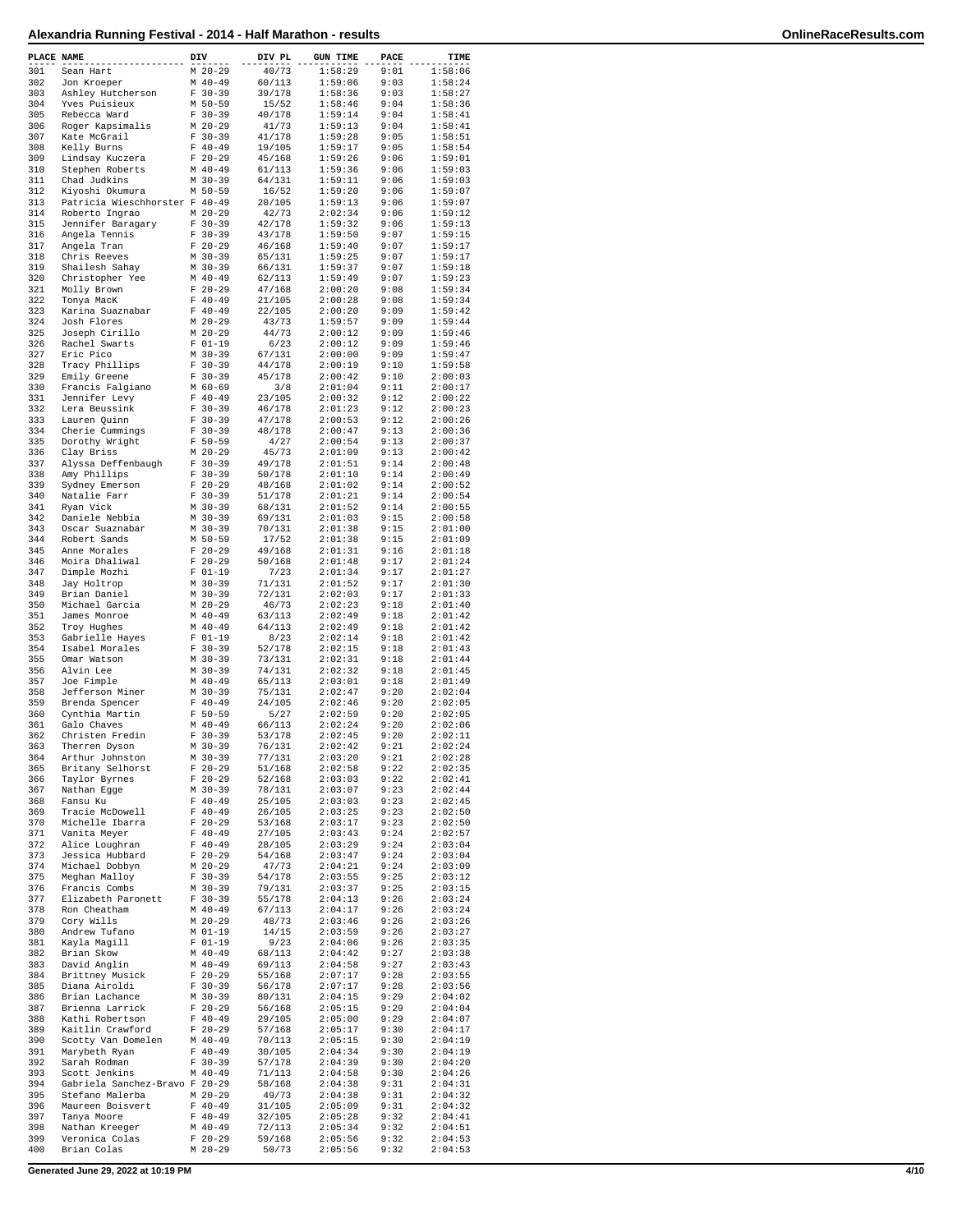| PLACE NAME |                                                | DIV |                          | DIV PL           | <b>GUN TIME</b>    | PACE         | TIME               |
|------------|------------------------------------------------|-----|--------------------------|------------------|--------------------|--------------|--------------------|
| 301        | Sean Hart                                      |     | $M$ 20-29                | 40/73            | 1:58:29            | 9:01         | 1:58:06            |
| 302<br>303 | Jon Kroeper                                    |     | $M$ 40-49<br>$F 30-39$   | 60/113<br>39/178 | 1:59:06<br>1:58:36 | 9:03<br>9:03 | 1:58:24<br>1:58:27 |
| 304        | Ashley Hutcherson<br>Yves Puisieux             |     | M 50-59                  | 15/52            | 1:58:46            | 9:04         | 1:58:36            |
| 305        | Rebecca Ward                                   |     | $F 30-39$                | 40/178           | 1:59:14            | 9:04         | 1:58:41            |
| 306        | Roger Kapsimalis                               |     | $M$ 20-29                | 41/73            | 1:59:13            | 9:04         | 1:58:41<br>1:58:51 |
| 307<br>308 | Kate McGrail<br>Kelly Burns                    |     | $F 30-39$<br>$F 40-49$   | 41/178<br>19/105 | 1:59:28<br>1:59:17 | 9:05<br>9:05 | 1:58:54            |
| 309        | Lindsay Kuczera                                |     | $F 20-29$                | 45/168           | 1:59:26            | 9:06         | 1:59:01            |
| 310        | Stephen Roberts                                |     | $M$ 40-49                | 61/113           | 1:59:36            | 9:06         | 1:59:03            |
| 311<br>312 | Chad Judkins<br>Kiyoshi Okumura                |     | M 30-39<br>M 50-59       | 64/131<br>16/52  | 1:59:11<br>1:59:20 | 9:06<br>9:06 | 1:59:03<br>1:59:07 |
| 313        | Patricia Wieschhorster F 40-49                 |     |                          | 20/105           | 1:59:13            | 9:06         | 1:59:07            |
| 314        | Roberto Ingrao                                 |     | $M$ 20-29                | 42/73            | 2:02:34            | 9:06         | 1:59:12            |
| 315        | Jennifer Baragary                              |     | $F 30-39$                | 42/178           | 1:59:32            | 9:06         | 1:59:13            |
| 316<br>317 | Angela Tennis                                  |     | $F 30-39$                | 43/178           | 1:59:50            | 9:07         | 1:59:15            |
| 318        | Angela Tran<br>Chris Reeves                    |     | $F$ 20-29<br>$M$ 30-39   | 46/168<br>65/131 | 1:59:40<br>1:59:25 | 9:07<br>9:07 | 1:59:17<br>1:59:17 |
| 319        | Shailesh Sahay                                 |     | $M$ 30-39                | 66/131           | 1:59:37            | 9:07         | 1:59:18            |
| 320        | Christopher Yee                                |     | $M$ 40-49                | 62/113           | 1:59:49            | 9:07         | 1:59:23            |
| 321<br>322 | Molly Brown                                    |     | $F$ 20-29<br>$F 40 - 49$ | 47/168<br>21/105 | 2:00:20<br>2:00:28 | 9:08<br>9:08 | 1:59:34<br>1:59:34 |
| 323        | Tonya MacK<br>Karina Suaznabar                 |     | $F 40-49$                | 22/105           | 2:00:20            | 9:09         | 1:59:42            |
| 324        | Josh Flores                                    |     | $M$ 20-29                | 43/73            | 1:59:57            | 9:09         | 1:59:44            |
| 325        | Joseph Cirillo                                 |     | $M$ 20-29                | 44/73            | 2:00:12            | 9:09         | 1:59:46            |
| 326        | Rachel Swarts                                  |     | $F 01-19$                | 6/23             | 2:00:12            | 9:09         | 1:59:46<br>1:59:47 |
| 327<br>328 | Eric Pico<br>Tracy Phillips                    |     | $M$ 30-39<br>$F 30-39$   | 67/131<br>44/178 | 2:00:00<br>2:00:19 | 9:09<br>9:10 | 1:59:58            |
| 329        | Emily Greene                                   |     | $F 30-39$                | 45/178           | 2:00:42            | 9:10         | 2:00:03            |
| 330        | Francis Falgiano                               |     | $M$ 60-69                | 3/8              | 2:01:04            | 9:11         | 2:00:17            |
| 331        | Jennifer Levy                                  |     | $F 40-49$                | 23/105           | 2:00:32            | 9:12         | 2:00:22            |
| 332<br>333 | Lera Beussink<br>Lauren Quinn                  |     | $F 30-39$<br>$F 30-39$   | 46/178<br>47/178 | 2:01:23<br>2:00:53 | 9:12<br>9:12 | 2:00:23<br>2:00:26 |
| 334        | Cherie Cummings                                |     | $F 30-39$                | 48/178           | 2:00:47            | 9:13         | 2:00:36            |
| 335        | Dorothy Wright                                 |     | $F 50 - 59$              | 4/27             | 2:00:54            | 9:13         | 2:00:37            |
| 336        | Clay Briss                                     |     | $M$ 20-29                | 45/73            | 2:01:09            | 9:13         | 2:00:42            |
| 337        | Alyssa Deffenbaugh                             |     | $F 30-39$<br>$F 30-39$   | 49/178           | 2:01:51            | 9:14<br>9:14 | 2:00:48<br>2:00:49 |
| 338<br>339 | Amy Phillips<br>Sydney Emerson                 |     | $F$ 20-29                | 50/178<br>48/168 | 2:01:10<br>2:01:02 | 9:14         | 2:00:52            |
| 340        | Natalie Farr                                   |     | $F 30-39$                | 51/178           | 2:01:21            | 9:14         | 2:00:54            |
| 341        | Ryan Vick                                      |     | M 30-39                  | 68/131           | 2:01:52            | 9:14         | 2:00:55            |
| 342        | Daniele Nebbia                                 |     | $M$ 30-39                | 69/131           | 2:01:03            | 9:15         | 2:00:58            |
| 343<br>344 | Oscar Suaznabar<br>Robert Sands                |     | $M$ 30-39<br>M 50-59     | 70/131<br>17/52  | 2:01:38<br>2:01:38 | 9:15<br>9:15 | 2:01:00<br>2:01:09 |
| 345        | Anne Morales                                   |     | $F 20-29$                | 49/168           | 2:01:31            | 9:16         | 2:01:18            |
| 346        | Moira Dhaliwal                                 |     | $F 20-29$                | 50/168           | 2:01:48            | 9:17         | 2:01:24            |
| 347        | Dimple Mozhi                                   |     | $F 01-19$                | 7/23             | 2:01:34            | 9:17         | 2:01:27            |
| 348<br>349 | Jay Holtrop<br>Brian Daniel                    |     | $M$ 30-39<br>$M$ 30-39   | 71/131<br>72/131 | 2:01:52<br>2:02:03 | 9:17<br>9:17 | 2:01:30<br>2:01:33 |
| 350        | Michael Garcia                                 |     | $M$ 20-29                | 46/73            | 2:02:23            | 9:18         | 2:01:40            |
| 351        | James Monroe                                   |     | $M$ 40-49                | 63/113           | 2:02:49            | 9:18         | 2:01:42            |
| 352        | Troy Hughes                                    |     | $M$ 40-49                | 64/113           | 2:02:49            | 9:18         | 2:01:42            |
| 353<br>354 | Gabrielle Hayes                                |     | $F 01-19$<br>$F 30-39$   | 8/23<br>52/178   | 2:02:14<br>2:02:15 | 9:18<br>9:18 | 2:01:42<br>2:01:43 |
| 355        | Isabel Morales<br>Omar Watson                  |     | M 30-39                  | 73/131           | 2:02:31            | 9:18         | 2:01:44            |
| 356        | Alvin Lee                                      |     | $M$ 30-39                | 74/131           | 2:02:32            | 9:18         | 2:01:45            |
| 357        | Joe Fimple                                     |     | $M$ 40-49                | 65/113           | 2:03:01            | 9:18         | 2:01:49            |
| 358<br>359 | Jefferson Miner                                |     | M 30-39                  | 75/131<br>24/105 | 2:02:47            | 9:20<br>9:20 | 2:02:04            |
| 360        | Brenda Spencer<br>Cynthia Martin               |     | $F 40-49$<br>$F 50 - 59$ | 5/27             | 2:02:46<br>2:02:59 | 9:20         | 2:02:05<br>2:02:05 |
| 361        | Galo Chaves                                    |     | $M$ 40-49                | 66/113           | 2:02:24            | 9:20         | 2:02:06            |
| 362        | Christen Fredin                                |     | $F 30-39$                | 53/178           | 2:02:45            | 9:20         | 2:02:11            |
| 363<br>364 | Therren Dyson                                  |     | M 30-39                  | 76/131           | 2:02:42            | 9:21         | 2:02:24            |
| 365        | $\mathtt{Arthur}$ Johnston<br>Britany Selhorst |     | M 30-39<br>$F$ 20-29     | 77/131<br>51/168 | 2:03:20<br>2:02:58 | 9:21<br>9:22 | 2:02:28<br>2:02:35 |
| 366        | Taylor Byrnes                                  |     | $F 20-29$                | 52/168           | 2:03:03            | 9:22         | 2:02:41            |
| 367        | Nathan Egge                                    |     | $M 30-39$                | 78/131           | 2:03:07            | 9:23         | 2:02:44            |
| 368        | Fansu Ku                                       |     | $F 40-49$                | 25/105           | 2:03:03            | 9:23         | 2:02:45            |
| 369<br>370 | Tracie McDowell<br>Michelle Ibarra             |     | $F 40-49$<br>$F 20-29$   | 26/105<br>53/168 | 2:03:25<br>2:03:17 | 9:23<br>9:23 | 2:02:50<br>2:02:50 |
| 371        | Vanita Meyer                                   |     | $F 40-49$                | 27/105           | 2:03:43            | 9:24         | 2:02:57            |
| 372        | Alice Loughran                                 |     | $F 40-49$                | 28/105           | 2:03:29            | 9:24         | 2:03:04            |
| 373        | Jessica Hubbard                                |     | $F$ 20-29                | 54/168           | 2:03:47            | 9:24         | 2:03:04            |
| 374<br>375 | Michael Dobbyn<br>Meghan Malloy                |     | $M$ 20-29<br>$F 30-39$   | 47/73<br>54/178  | 2:04:21<br>2:03:55 | 9:24<br>9:25 | 2:03:09<br>2:03:12 |
| 376        | Francis Combs                                  |     | M 30-39                  | 79/131           | 2:03:37            | 9:25         | 2:03:15            |
| 377        | Elizabeth Paronett                             |     | $F 30-39$                | 55/178           | 2:04:13            | 9:26         | 2:03:24            |
| 378        | Ron Cheatham                                   |     | $M$ 40-49                | 67/113           | 2:04:17            | 9:26         | 2:03:24            |
| 379<br>380 | Cory Wills<br>Andrew Tufano                    |     | $M$ 20-29<br>$M$ 01-19   | 48/73<br>14/15   | 2:03:46<br>2:03:59 | 9:26<br>9:26 | 2:03:26<br>2:03:27 |
| 381        | Kayla Magill                                   |     | $F 01-19$                | 9/23             | 2:04:06            | 9:26         | 2:03:35            |
| 382        | Brian Skow                                     |     | M 40-49                  | 68/113           | 2:04:42            | 9:27         | 2:03:38            |
| 383        | David Anglin                                   |     | $M$ 40-49                | 69/113           | 2:04:58            | 9:27         | 2:03:43            |
| 384<br>385 | Brittney Musick<br>Diana Airoldi               |     | $F 20-29$<br>$F 30-39$   | 55/168<br>56/178 | 2:07:17<br>2:07:17 | 9:28<br>9:28 | 2:03:55<br>2:03:56 |
| 386        | Brian Lachance                                 |     | $M$ 30-39                | 80/131           | 2:04:15            | 9:29         | 2:04:02            |
| 387        | Brienna Larrick                                |     | $F$ 20-29                | 56/168           | 2:05:15            | 9:29         | 2:04:04            |
| 388        | Kathi Robertson                                |     | $F 40-49$                | 29/105           | 2:05:00            | 9:29         | 2:04:07            |
| 389        | Kaitlin Crawford                               |     | $F$ 20-29                | 57/168           | 2:05:17            | 9:30         | 2:04:17            |
| 390<br>391 | Scotty Van Domelen<br>Marybeth Ryan            |     | $M$ 40-49<br>$F 40-49$   | 70/113<br>30/105 | 2:05:15<br>2:04:34 | 9:30<br>9:30 | 2:04:19<br>2:04:19 |
| 392        | Sarah Rodman                                   |     | $F 30-39$                | 57/178           | 2:04:39            | 9:30         | 2:04:20            |
| 393        | Scott Jenkins                                  |     | $M$ 40-49                | 71/113           | 2:04:58            | 9:30         | 2:04:26            |
| 394        | Gabriela Sanchez-Bravo F 20-29                 |     |                          | 58/168           | 2:04:38            | 9:31         | 2:04:31            |
| 395<br>396 | Stefano Malerba<br>Maureen Boisvert            |     | M 20-29<br>$F$ 40-49     | 49/73<br>31/105  | 2:04:38<br>2:05:09 | 9:31<br>9:31 | 2:04:32<br>2:04:32 |
| 397        | Tanya Moore                                    |     | $F 40-49$                | 32/105           | 2:05:28            | 9:32         | 2:04:41            |
| 398        | Nathan Kreeger                                 |     | $M$ 40-49                | 72/113           | 2:05:34            | 9:32         | 2:04:51            |
| 399        | Veronica Colas                                 |     | $F$ 20-29                | 59/168           | 2:05:56            | 9:32         | 2:04:53            |
| 400        | Brian Colas                                    |     | $M$ 20-29                | 50/73            | 2:05:56            | 9:32         | 2:04:53            |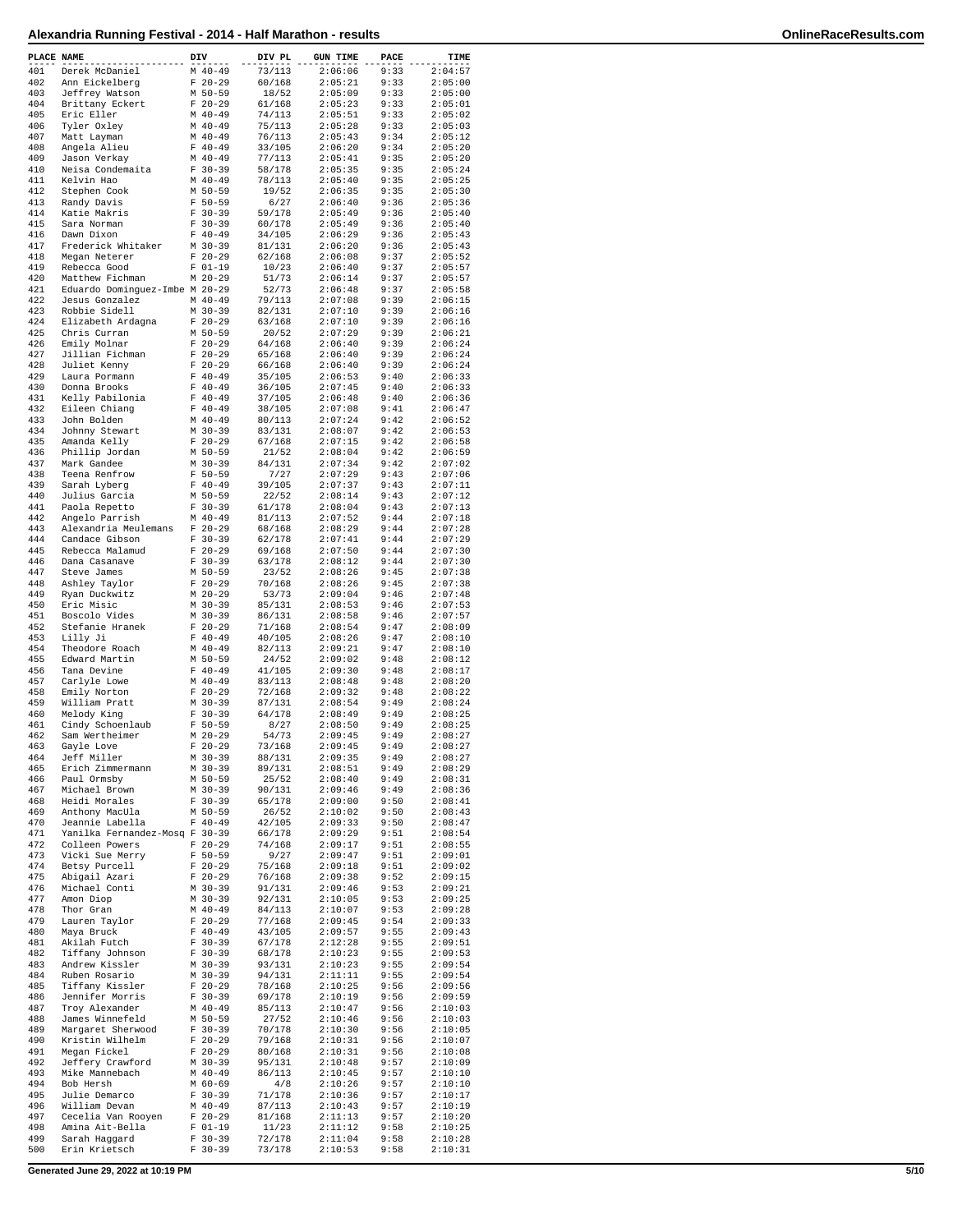| PLACE NAME |                                                   | DIV |                        | DIV PL           | <b>GUN TIME</b>    | PACE         | TIME               |
|------------|---------------------------------------------------|-----|------------------------|------------------|--------------------|--------------|--------------------|
| 401        | Derek McDaniel                                    |     | $M$ 40-49              | 73/113           | 2:06:06            | 9:33         | 2:04:57            |
| 402        | Ann Eickelberg                                    |     | $F$ 20-29              | 60/168           | 2:05:21            | 9:33         | 2:05:00            |
| 403        | Jeffrey Watson                                    |     | M 50-59                | 18/52            | 2:05:09            | 9:33         | 2:05:00            |
| 404        | Brittany Eckert                                   |     | $F$ 20-29              | 61/168           | 2:05:23            | 9:33         | 2:05:01            |
| 405<br>406 | Eric Eller<br>Tyler Oxley                         |     | $M$ 40-49<br>$M$ 40-49 | 74/113<br>75/113 | 2:05:51<br>2:05:28 | 9:33<br>9:33 | 2:05:02<br>2:05:03 |
| 407        | Matt Layman                                       |     | $M$ 40-49              | 76/113           | 2:05:43            | 9:34         | 2:05:12            |
| 408        | Angela Alieu                                      |     | $F 40 - 49$            | 33/105           | 2:06:20            | 9:34         | 2:05:20            |
| 409        | Jason Verkay                                      |     | $M$ 40-49              | 77/113           | 2:05:41            | 9:35         | 2:05:20            |
| 410        | Neisa Condemaita                                  |     | $F 30-39$              | 58/178           | 2:05:35            | 9:35         | 2:05:24            |
| 411        | Kelvin Hao                                        |     | $M$ 40-49              | 78/113           | 2:05:40            | 9:35         | 2:05:25            |
| 412<br>413 | Stephen Cook                                      |     | M 50-59<br>$F 50-59$   | 19/52<br>6/27    | 2:06:35<br>2:06:40 | 9:35<br>9:36 | 2:05:30<br>2:05:36 |
| 414        | Randy Davis<br>Katie Makris                       |     | $F 30-39$              | 59/178           | 2:05:49            | 9:36         | 2:05:40            |
| 415        | Sara Norman                                       |     | $F 30-39$              | 60/178           | 2:05:49            | 9:36         | 2:05:40            |
| 416        | Dawn Dixon                                        |     | $F 40-49$              | 34/105           | 2:06:29            | 9:36         | 2:05:43            |
| 417        | Frederick Whitaker                                |     | M 30-39                | 81/131           | 2:06:20            | 9:36         | 2:05:43            |
| 418        | Megan Neterer                                     |     | $F 20-29$              | 62/168           | 2:06:08            | 9:37         | 2:05:52            |
| 419        | Rebecca Good                                      |     | $F 01-19$              | 10/23            | 2:06:40            | 9:37         | 2:05:57            |
| 420<br>421 | Matthew Fichman<br>Eduardo Dominguez-Imbe M 20-29 |     | $M$ 20-29              | 51/73<br>52/73   | 2:06:14<br>2:06:48 | 9:37<br>9:37 | 2:05:57<br>2:05:58 |
| 422        | Jesus Gonzalez                                    |     | $M$ 40-49              | 79/113           | 2:07:08            | 9:39         | 2:06:15            |
| 423        | Robbie Sidell                                     |     | M 30-39                | 82/131           | 2:07:10            | 9:39         | 2:06:16            |
| 424        | Elizabeth Ardagna                                 |     | $F$ 20-29              | 63/168           | 2:07:10            | 9:39         | 2:06:16            |
| 425        | Chris Curran                                      |     | M 50-59                | 20/52            | 2:07:29            | 9:39         | 2:06:21            |
| 426        | Emily Molnar                                      |     | $F 20-29$              | 64/168           | 2:06:40            | 9:39         | 2:06:24            |
| 427        | Jillian Fichman                                   |     | $F$ 20-29              | 65/168           | 2:06:40            | 9:39         | 2:06:24            |
| 428<br>429 | Juliet Kenny<br>Laura Pormann                     |     | $F$ 20-29<br>$F 40-49$ | 66/168<br>35/105 | 2:06:40<br>2:06:53 | 9:39<br>9:40 | 2:06:24<br>2:06:33 |
| 430        | Donna Brooks                                      |     | $F 40-49$              | 36/105           | 2:07:45            | 9:40         | 2:06:33            |
| 431        | Kelly Pabilonia                                   |     | $F 40-49$              | 37/105           | 2:06:48            | 9:40         | 2:06:36            |
| 432        | Eileen Chiang                                     |     | $F 40 - 49$            | 38/105           | 2:07:08            | 9:41         | 2:06:47            |
| 433        | John Bolden                                       |     | $M$ 40-49              | 80/113           | 2:07:24            | 9:42         | 2:06:52            |
| 434        | Johnny Stewart                                    |     | $M$ 30-39              | 83/131           | 2:08:07            | 9:42         | 2:06:53            |
| 435        | Amanda Kelly                                      |     | $F$ 20-29              | 67/168           | 2:07:15            | 9:42         | 2:06:58            |
| 436<br>437 | Phillip Jordan                                    |     | M 50-59<br>$M$ 30-39   | 21/52<br>84/131  | 2:08:04<br>2:07:34 | 9:42<br>9:42 | 2:06:59<br>2:07:02 |
| 438        | Mark Gandee<br>Teena Renfrow                      |     | $F 50 - 59$            | 7/27             | 2:07:29            | 9:43         | 2:07:06            |
| 439        | Sarah Lyberg                                      |     | $F 40-49$              | 39/105           | 2:07:37            | 9:43         | 2:07:11            |
| 440        | Julius Garcia                                     |     | M 50-59                | 22/52            | 2:08:14            | 9:43         | 2:07:12            |
| 441        | Paola Repetto                                     |     | $F 30-39$              | 61/178           | 2:08:04            | 9:43         | 2:07:13            |
| 442        | Angelo Parrish                                    |     | $M$ 40-49              | 81/113           | 2:07:52            | 9:44         | 2:07:18            |
| 443        | Alexandria Meulemans                              |     | $F$ 20-29              | 68/168           | 2:08:29            | 9:44         | 2:07:28            |
| 444<br>445 | Candace Gibson                                    |     | $F 30-39$              | 62/178           | 2:07:41<br>2:07:50 | 9:44<br>9:44 | 2:07:29<br>2:07:30 |
| 446        | Rebecca Malamud<br>Dana Casanave                  |     | $F$ 20-29<br>$F 30-39$ | 69/168<br>63/178 | 2:08:12            | 9:44         | 2:07:30            |
| 447        | Steve James                                       |     | M 50-59                | 23/52            | 2:08:26            | 9:45         | 2:07:38            |
| 448        | Ashley Taylor                                     |     | $F 20-29$              | 70/168           | 2:08:26            | 9:45         | 2:07:38            |
| 449        | Ryan Duckwitz                                     |     | $M$ 20-29              | 53/73            | 2:09:04            | 9:46         | 2:07:48            |
| 450        | Eric Misic                                        |     | $M$ 30-39              | 85/131           | 2:08:53            | 9:46         | 2:07:53            |
| 451        | Boscolo Vides                                     |     | $M$ 30-39              | 86/131           | 2:08:58            | 9:46         | 2:07:57            |
| 452<br>453 | Stefanie Hranek<br>Lilly Ji                       |     | $F$ 20-29<br>$F 40-49$ | 71/168<br>40/105 | 2:08:54<br>2:08:26 | 9:47<br>9:47 | 2:08:09<br>2:08:10 |
| 454        | Theodore Roach                                    |     | $M$ 40-49              | 82/113           | 2:09:21            | 9:47         | 2:08:10            |
| 455        | Edward Martin                                     |     | M 50-59                | 24/52            | 2:09:02            | 9:48         | 2:08:12            |
| 456        | Tana Devine                                       |     | $F 40-49$              | 41/105           | 2:09:30            | 9:48         | 2:08:17            |
| 457        | Carlyle Lowe                                      |     | $M$ 40-49              | 83/113           | 2:08:48            | 9:48         | 2:08:20            |
| 458        | Emily Norton                                      |     | $F$ 20-29              | 72/168           | 2:09:32            | 9:48         | 2:08:22            |
| 459        | William Pratt                                     |     | $M$ 30-39<br>$F 30-39$ | 87/131           | 2:08:54            | 9:49         | 2:08:24            |
| 460<br>461 | Melody King<br>Cindy Schoenlaub                   |     | $F 50-59$              | 64/178<br>8/27   | 2:08:49<br>2:08:50 | 9:49<br>9:49 | 2:08:25<br>2:08:25 |
| 462        | Sam Wertheimer                                    |     | $M$ 20-29              | 54/73            | 2:09:45            | 9:49         | 2:08:27            |
| 463        | Gayle Love                                        |     | $F$ 20-29              | 73/168           | 2:09:45            | 9:49         | 2:08:27            |
| 464        | Jeff Miller                                       |     | $M$ 30-39              | 88/131           | 2:09:35            | 9:49         | 2:08:27            |
| 465        | Erich Zimmermann                                  |     | $M$ 30-39              | 89/131           | 2:08:51            | 9:49         | 2:08:29            |
| 466        | Paul Ormsby                                       |     | M 50-59                | 25/52            | 2:08:40            | 9:49         | 2:08:31            |
| 467<br>468 | Michael Brown                                     |     | M 30-39                | 90/131<br>65/178 | 2:09:46<br>2:09:00 | 9:49         | 2:08:36<br>2:08:41 |
| 469        | Heidi Morales<br>Anthony MacUla                   |     | $F 30-39$<br>M 50-59   | 26/52            | 2:10:02            | 9:50<br>9:50 | 2:08:43            |
| 470        | Jeannie Labella                                   |     | $F 40 - 49$            | 42/105           | 2:09:33            | 9:50         | 2:08:47            |
| 471        | Yanilka Fernandez-Mosq F 30-39                    |     |                        | 66/178           | 2:09:29            | 9:51         | 2:08:54            |
| 472        | Colleen Powers                                    |     | $F$ 20-29              | 74/168           | 2:09:17            | 9:51         | 2:08:55            |
| 473        | Vicki Sue Merry                                   |     | $F 50 - 59$            | 9/27             | 2:09:47            | 9:51         | 2:09:01            |
| 474<br>475 | Betsy Purcell                                     |     | $F$ 20-29              | 75/168           | 2:09:18<br>2:09:38 | 9:51<br>9:52 | 2:09:02<br>2:09:15 |
| 476        | Abigail Azari<br>Michael Conti                    |     | $F$ 20-29<br>$M$ 30-39 | 76/168<br>91/131 | 2:09:46            | 9:53         | 2:09:21            |
| 477        | Amon Diop                                         |     | M 30-39                | 92/131           | 2:10:05            | 9:53         | 2:09:25            |
| 478        | Thor Gran                                         |     | $M$ 40-49              | 84/113           | 2:10:07            | 9:53         | 2:09:28            |
| 479        | Lauren Taylor                                     |     | $F$ 20-29              | 77/168           | 2:09:45            | 9:54         | 2:09:33            |
| 480        | Maya Bruck                                        |     | $F 40-49$              | 43/105           | 2:09:57            | 9:55         | 2:09:43            |
| 481        | Akilah Futch                                      |     | $F 30-39$              | 67/178           | 2:12:28            | 9:55         | 2:09:51            |
| 482        | Tiffany Johnson                                   |     | $F 30-39$              | 68/178           | 2:10:23            | 9:55         | 2:09:53            |
| 483<br>484 | Andrew Kissler<br>Ruben Rosario                   |     | M 30-39<br>$M$ 30-39   | 93/131<br>94/131 | 2:10:23<br>2:11:11 | 9:55<br>9:55 | 2:09:54<br>2:09:54 |
| 485        | Tiffany Kissler                                   |     | $F$ 20-29              | 78/168           | 2:10:25            | 9:56         | 2:09:56            |
| 486        | Jennifer Morris                                   |     | $F 30-39$              | 69/178           | 2:10:19            | 9:56         | 2:09:59            |
| 487        | Troy Alexander                                    |     | $M$ 40-49              | 85/113           | 2:10:47            | 9:56         | 2:10:03            |
| 488        | James Winnefeld                                   |     | M 50-59                | 27/52            | 2:10:46            | 9:56         | 2:10:03            |
| 489        | Margaret Sherwood                                 |     | $F 30-39$              | 70/178           | 2:10:30            | 9:56         | 2:10:05            |
| 490<br>491 | Kristin Wilhelm<br>Megan Fickel                   |     | $F$ 20-29<br>$F$ 20-29 | 79/168<br>80/168 | 2:10:31<br>2:10:31 | 9:56<br>9:56 | 2:10:07<br>2:10:08 |
| 492        | Jeffery Crawford                                  |     | M 30-39                | 95/131           | 2:10:48            | 9:57         | 2:10:09            |
| 493        | Mike Mannebach                                    |     | $M$ 40-49              | 86/113           | 2:10:45            | 9:57         | 2:10:10            |
| 494        | Bob Hersh                                         |     | M 60-69                | 4/8              | 2:10:26            | 9:57         | 2:10:10            |
| 495        | Julie Demarco                                     | F   | $30 - 39$              | 71/178           | 2:10:36            | 9:57         | 2:10:17            |
| 496        | William Devan                                     |     | $M$ 40-49              | 87/113           | 2:10:43            | 9:57         | 2:10:19            |
| 497<br>498 | Cecelia Van Rooyen<br>Amina Ait-Bella             |     | $F$ 20-29<br>$F 01-19$ | 81/168<br>11/23  | 2:11:13<br>2:11:12 | 9:57<br>9:58 | 2:10:20<br>2:10:25 |
| 499        | Sarah Haggard                                     |     | $F 30-39$              | 72/178           | 2:11:04            | 9:58         | 2:10:28            |
| 500        | Erin Krietsch                                     |     | $F 30-39$              | 73/178           | 2:10:53            | 9:58         | 2:10:31            |
|            |                                                   |     |                        |                  |                    |              |                    |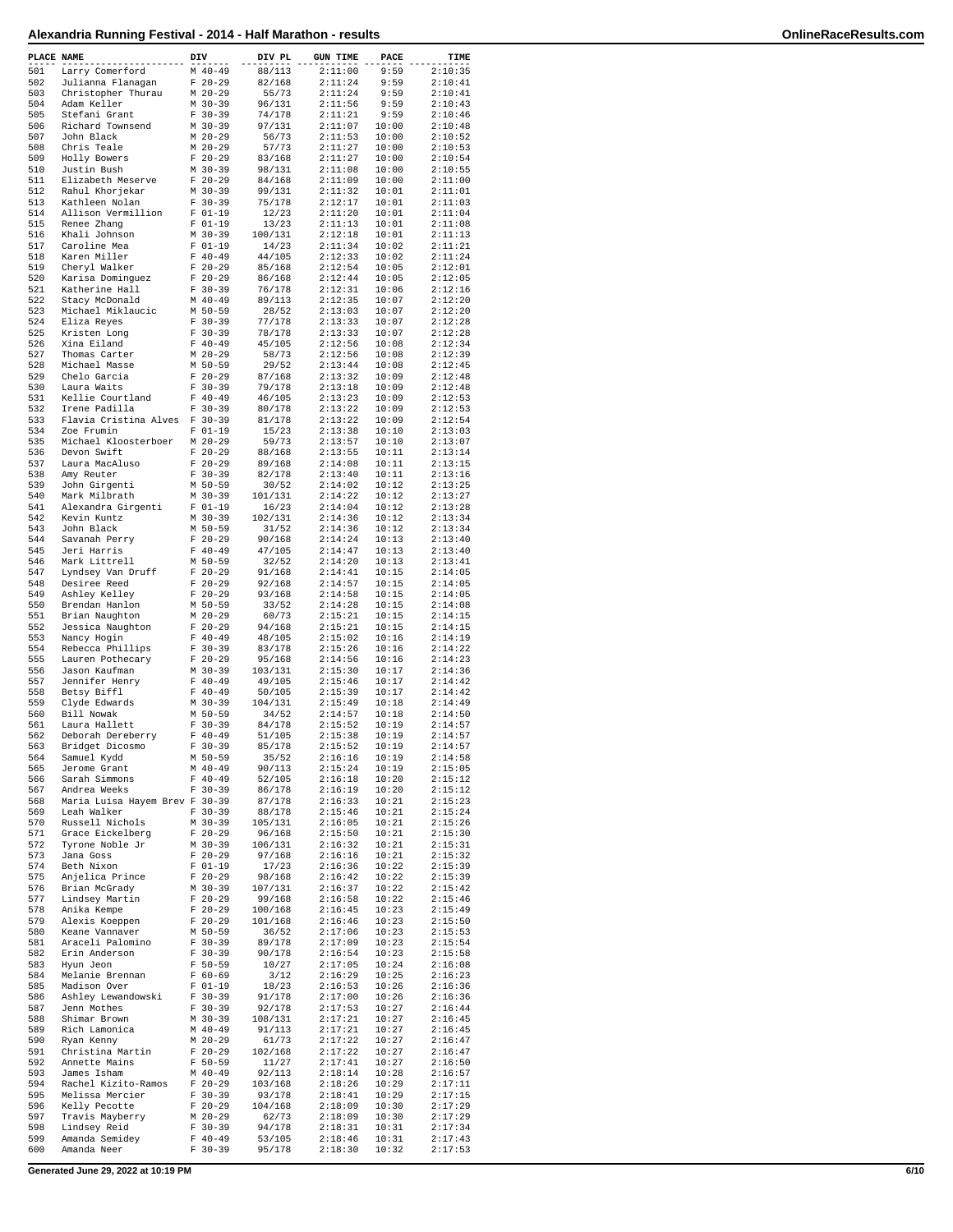| PLACE NAME |                                      | DIV |                        | DIV PL             | <b>GUN TIME</b>    | PACE           | TIME               |
|------------|--------------------------------------|-----|------------------------|--------------------|--------------------|----------------|--------------------|
| 501        | Larry Comerford                      |     | $M$ 40-49              | 88/113             | 2:11:00            | 9:59           | 2:10:35            |
| 502        | Julianna Flanagan                    |     | $F 20-29$              | 82/168             | 2:11:24            | 9:59           | 2:10:41            |
| 503        | Christopher Thurau                   |     | $M$ 20-29              | 55/73              | 2:11:24            | 9:59           | 2:10:41            |
| 504<br>505 | Adam Keller<br>Stefani Grant         |     | M 30-39<br>$F 30-39$   | 96/131<br>74/178   | 2:11:56<br>2:11:21 | 9:59<br>9:59   | 2:10:43<br>2:10:46 |
| 506        | Richard Townsend                     |     | M 30-39                | 97/131             | 2:11:07            | 10:00          | 2:10:48            |
| 507        | John Black                           |     | M 20-29                | 56/73              | 2:11:53            | 10:00          | 2:10:52            |
| 508        | Chris Teale                          |     | $M$ 20-29              | 57/73              | 2:11:27            | 10:00          | 2:10:53            |
| 509        | Holly Bowers                         |     | $F 20-29$              | 83/168             | 2:11:27            | 10:00          | 2:10:54            |
| 510        | Justin Bush                          |     | M 30-39                | 98/131             | 2:11:08            | 10:00          | 2:10:55            |
| 511        | Elizabeth Meserve                    |     | $F 20-29$              | 84/168             | 2:11:09            | 10:00          | 2:11:00            |
| 512<br>513 | Rahul Khorjekar<br>Kathleen Nolan    |     | $M$ 30-39<br>$F 30-39$ | 99/131<br>75/178   | 2:11:32<br>2:12:17 | 10:01<br>10:01 | 2:11:01<br>2:11:03 |
| 514        | Allison Vermillion                   |     | $F 01-19$              | 12/23              | 2:11:20            | 10:01          | 2:11:04            |
| 515        | Renee Zhang                          |     | $F 01-19$              | 13/23              | 2:11:13            | 10:01          | 2:11:08            |
| 516        | Khali Johnson                        |     | M 30-39                | 100/131            | 2:12:18            | 10:01          | 2:11:13            |
| 517        | Caroline Mea                         |     | $F 01-19$              | 14/23              | 2:11:34            | 10:02          | 2:11:21            |
| 518        | Karen Miller                         |     | $F 40-49$              | 44/105             | 2:12:33            | 10:02          | 2:11:24            |
| 519        | Cheryl Walker                        |     | $F$ 20-29              | 85/168             | 2:12:54            | 10:05          | 2:12:01            |
| 520<br>521 | Karisa Dominguez<br>Katherine Hall   |     | $F$ 20-29<br>$F 30-39$ | 86/168<br>76/178   | 2:12:44<br>2:12:31 | 10:05<br>10:06 | 2:12:05<br>2:12:16 |
| 522        | Stacy McDonald                       |     | $M$ 40-49              | 89/113             | 2:12:35            | 10:07          | 2:12:20            |
| 523        | Michael Miklaucic                    |     | M 50-59                | 28/52              | 2:13:03            | 10:07          | 2:12:20            |
| 524        | Eliza Reyes                          |     | $F 30-39$              | 77/178             | 2:13:33            | 10:07          | 2:12:28            |
| 525        | Kristen Long                         |     | $F$ 30-39              | 78/178             | 2:13:33            | 10:07          | 2:12:28            |
| 526        | Xina Eiland                          |     | $F 40-49$              | 45/105             | 2:12:56            | 10:08          | 2:12:34            |
| 527        | Thomas Carter                        |     | $M$ 20-29              | 58/73              | 2:12:56            | 10:08          | 2:12:39            |
| 528<br>529 | Michael Masse                        |     | M 50-59<br>$F 20-29$   | 29/52<br>87/168    | 2:13:44            | 10:08<br>10:09 | 2:12:45<br>2:12:48 |
| 530        | Chelo Garcia<br>Laura Waits          |     | $F 30-39$              | 79/178             | 2:13:32<br>2:13:18 | 10:09          | 2:12:48            |
| 531        | Kellie Courtland                     |     | $F 40-49$              | 46/105             | 2:13:23            | 10:09          | 2:12:53            |
| 532        | Irene Padilla                        |     | $F 30-39$              | 80/178             | 2:13:22            | 10:09          | 2:12:53            |
| 533        | Flavia Cristina Alves F 30-39        |     |                        | 81/178             | 2:13:22            | 10:09          | 2:12:54            |
| 534        | Zoe Frumin                           |     | $F 01-19$              | 15/23              | 2:13:38            | 10:10          | 2:13:03            |
| 535        | Michael Kloosterboer                 |     | $M$ 20-29              | 59/73              | 2:13:57            | 10:10          | 2:13:07            |
| 536        | Devon Swift                          |     | $F 20-29$              | 88/168             | 2:13:55            | 10:11          | 2:13:14            |
| 537        | Laura MacAluso                       |     | $F 20-29$              | 89/168             | 2:14:08            | 10:11          | 2:13:15            |
| 538<br>539 | Amy Reuter<br>John Girgenti          |     | $F 30-39$<br>M 50-59   | 82/178<br>30/52    | 2:13:40<br>2:14:02 | 10:11<br>10:12 | 2:13:16<br>2:13:25 |
| 540        | Mark Milbrath                        |     | M 30-39                | 101/131            | 2:14:22            | 10:12          | 2:13:27            |
| 541        | Alexandra Girgenti                   |     | $F 01-19$              | 16/23              | 2:14:04            | 10:12          | 2:13:28            |
| 542        | Kevin Kuntz                          |     | $M$ 30-39              | 102/131            | 2:14:36            | 10:12          | 2:13:34            |
| 543        | John Black                           |     | M 50-59                | 31/52              | 2:14:36            | 10:12          | 2:13:34            |
| 544        | Savanah Perry                        |     | $F$ 20-29              | 90/168             | 2:14:24            | 10:13          | 2:13:40            |
| 545        | Jeri Harris                          |     | $F 40-49$              | 47/105             | 2:14:47            | 10:13          | 2:13:40            |
| 546<br>547 | Mark Littrell                        |     | M 50-59<br>$F 20-29$   | 32/52<br>91/168    | 2:14:20<br>2:14:41 | 10:13<br>10:15 | 2:13:41<br>2:14:05 |
| 548        | Lyndsey Van Druff<br>Desiree Reed    |     | $F$ 20-29              | 92/168             | 2:14:57            | 10:15          | 2:14:05            |
| 549        | Ashley Kelley                        |     | $F$ 20-29              | 93/168             | 2:14:58            | 10:15          | 2:14:05            |
| 550        | Brendan Hanlon                       |     | M 50-59                | 33/52              | 2:14:28            | 10:15          | 2:14:08            |
| 551        | Brian Naughton                       |     | M 20-29                | 60/73              | 2:15:21            | 10:15          | 2:14:15            |
| 552        | Jessica Naughton                     |     | $F$ 20-29              | 94/168             | 2:15:21            | 10:15          | 2:14:15            |
| 553        | Nancy Hogin                          |     | $F 40-49$              | 48/105             | 2:15:02            | 10:16          | 2:14:19            |
| 554<br>555 | Rebecca Phillips<br>Lauren Pothecary |     | $F 30-39$<br>$F$ 20-29 | 83/178<br>95/168   | 2:15:26<br>2:14:56 | 10:16<br>10:16 | 2:14:22<br>2:14:23 |
| 556        | Jason Kaufman                        |     | $M$ 30-39              | 103/131            | 2:15:30            | 10:17          | 2:14:36            |
| 557        | Jennifer Henry                       |     | $F 40-49$              | 49/105             | 2:15:46            | 10:17          | 2:14:42            |
| 558        | Betsy Biffl                          |     | $F 40-49$              | 50/105             | 2:15:39            | 10:17          | 2:14:42            |
| 559        | Clyde Edwards                        |     | M 30-39                | 104/131            | 2:15:49            | 10:18          | 2:14:49            |
| 560        | Bill Nowak                           |     | M 50-59                | 34/52              | 2:14:57            | 10:18          | 2:14:50            |
| 561        | Laura Hallett                        |     | $F$ 30-39<br>$F 40-49$ | 84/178             | 2:15:52            | 10:19          | 2:14:57            |
| 562<br>563 | Deborah Dereberry<br>Bridget Dicosmo |     | $F 30-39$              | 51/105<br>85/178   | 2:15:38<br>2:15:52 | 10:19<br>10:19 | 2:14:57<br>2:14:57 |
| 564        | Samuel Kydd                          |     | M 50-59                | 35/52              | 2:16:16            | 10:19          | 2:14:58            |
| 565        | Jerome Grant                         |     | $M$ 40-49              | 90/113             | 2:15:24            | 10:19          | 2:15:05            |
| 566        | Sarah Simmons                        |     | $F 40 - 49$            | 52/105             | 2:16:18            | 10:20          | 2:15:12            |
| 567        | Andrea Weeks                         |     | $F 30-39$              | 86/178             | 2:16:19            | 10:20          | 2:15:12            |
| 568        | Maria Luisa Hayem Brev F 30-39       |     |                        | 87/178             | 2:16:33            | 10:21          | 2:15:23            |
| 569        | Leah Walker                          |     | $F 30-39$              | 88/178             | 2:15:46            | 10:21          | 2:15:24            |
| 570<br>571 | Russell Nichols<br>Grace Eickelberg  |     | $M$ 30-39<br>$F 20-29$ | 105/131<br>96/168  | 2:16:05<br>2:15:50 | 10:21<br>10:21 | 2:15:26<br>2:15:30 |
| 572        | Tyrone Noble Jr                      |     | M 30-39                | 106/131            | 2:16:32            | 10:21          | 2:15:31            |
| 573        | Jana Goss                            |     | $F$ 20-29              | 97/168             | 2:16:16            | 10:21          | 2:15:32            |
| 574        | Beth Nixon                           |     | $F 01-19$              | 17/23              | 2:16:36            | 10:22          | 2:15:39            |
| 575        | Anjelica Prince                      |     | $F 20-29$              | 98/168             | 2:16:42            | 10:22          | 2:15:39            |
| 576        | Brian McGrady                        |     | M 30-39                | 107/131            | 2:16:37            | 10:22          | 2:15:42            |
| 577<br>578 | Lindsey Martin                       |     | $F 20-29$              | 99/168             | 2:16:58            | 10:22          | 2:15:46            |
| 579        | Anika Kempe<br>Alexis Koeppen        |     | $F$ 20-29<br>$F$ 20-29 | 100/168<br>101/168 | 2:16:45<br>2:16:46 | 10:23<br>10:23 | 2:15:49<br>2:15:50 |
| 580        | Keane Vannaver                       |     | M 50-59                | 36/52              | 2:17:06            | 10:23          | 2:15:53            |
| 581        | Araceli Palomino                     |     | $F 30-39$              | 89/178             | 2:17:09            | 10:23          | 2:15:54            |
| 582        | Erin Anderson                        |     | $F 30-39$              | 90/178             | 2:16:54            | 10:23          | 2:15:58            |
| 583        | Hyun Jeon                            |     | $F 50 - 59$            | 10/27              | 2:17:05            | 10:24          | 2:16:08            |
| 584        | Melanie Brennan                      |     | $F 60-69$              | 3/12               | 2:16:29            | 10:25          | 2:16:23            |
| 585        | Madison Over                         |     | $F 01-19$              | 18/23              | 2:16:53            | 10:26          | 2:16:36            |
| 586<br>587 | Ashley Lewandowski                   |     | $F 30-39$              | 91/178             | 2:17:00            | 10:26          | 2:16:36            |
| 588        | Jenn Mothes<br>Shimar Brown          |     | $F 30-39$<br>M 30-39   | 92/178<br>108/131  | 2:17:53<br>2:17:21 | 10:27<br>10:27 | 2:16:44<br>2:16:45 |
| 589        | Rich Lamonica                        |     | $M$ 40-49              | 91/113             | 2:17:21            | 10:27          | 2:16:45            |
| 590        | Ryan Kenny                           |     | $M$ 20-29              | 61/73              | 2:17:22            | 10:27          | 2:16:47            |
| 591        | Christina Martin                     |     | $F$ 20-29              | 102/168            | 2:17:22            | 10:27          | 2:16:47            |
| 592        | Annette Mains                        |     | $F 50 - 59$            | 11/27              | 2:17:41            | 10:27          | 2:16:50            |
| 593        | James Isham                          |     | $M$ 40-49              | 92/113             | 2:18:14            | 10:28          | 2:16:57            |
| 594        | Rachel Kizito-Ramos                  |     | $F$ 20-29<br>$F 30-39$ | 103/168            | 2:18:26            | 10:29          | 2:17:11<br>2:17:15 |
| 595<br>596 | Melissa Mercier<br>Kelly Pecotte     |     | $F 20-29$              | 93/178<br>104/168  | 2:18:41<br>2:18:09 | 10:29<br>10:30 | 2:17:29            |
| 597        | Travis Mayberry                      |     | $M$ 20-29              | 62/73              | 2:18:09            | 10:30          | 2:17:29            |
| 598        | Lindsey Reid                         |     | $F 30-39$              | 94/178             | 2:18:31            | 10:31          | 2:17:34            |
| 599        | Amanda Semidey                       |     | $F 40-49$              | 53/105             | 2:18:46            | 10:31          | 2:17:43            |
| 600        | Amanda Neer                          |     | $F 30-39$              | 95/178             | 2:18:30            | 10:32          | 2:17:53            |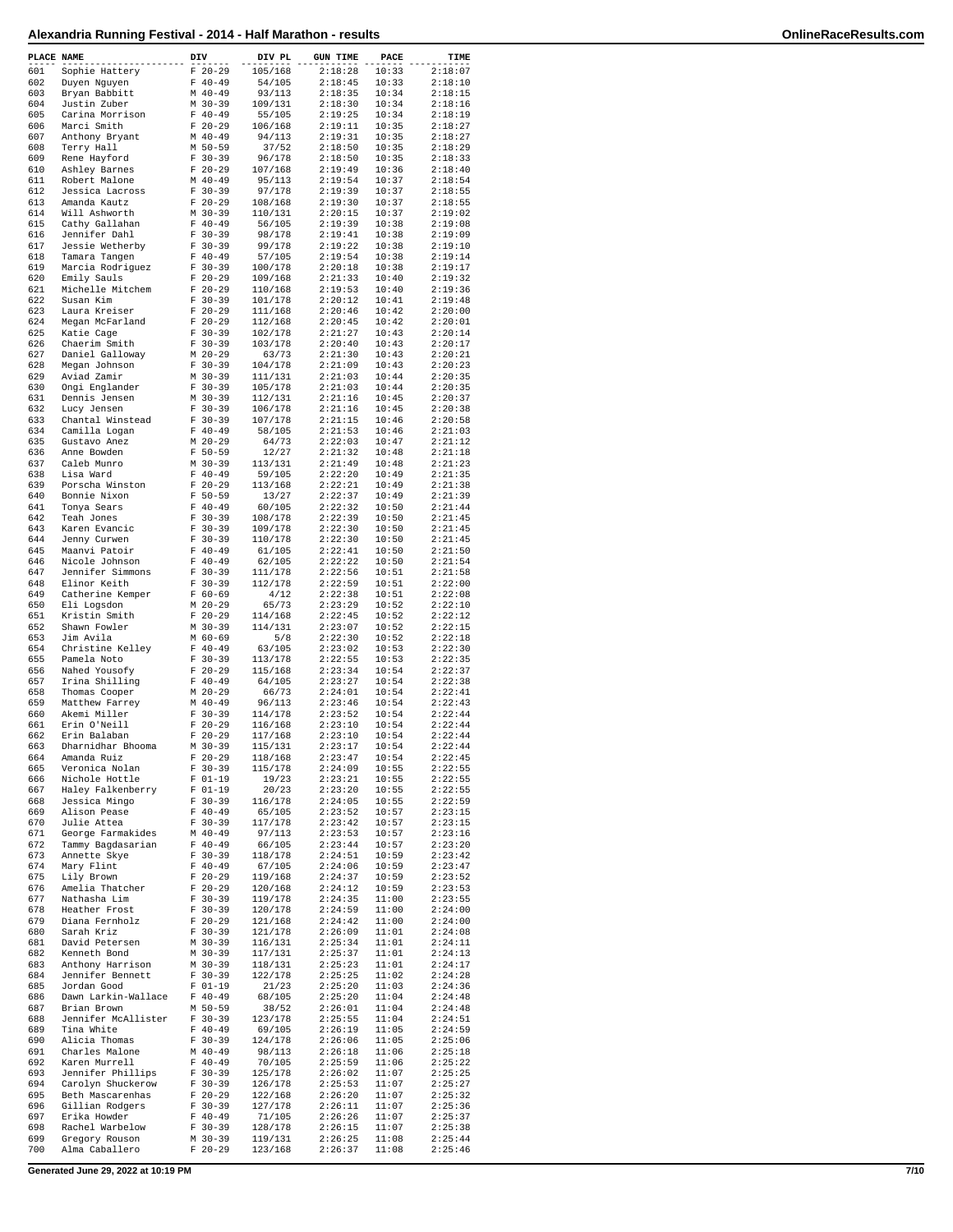| PLACE NAME |                                    | DIV                    | DIV PL             | <b>GUN TIME</b>    | PACE           | TIME               |
|------------|------------------------------------|------------------------|--------------------|--------------------|----------------|--------------------|
| 601        | Sophie Hattery                     | $F 20-29$              | 105/168            | 2:18:28            | 10:33          | 2:18:07            |
| 602        | Duyen Nguyen                       | $F 40-49$              | 54/105             | 2:18:45            | 10:33          | 2:18:10            |
| 603        | Bryan Babbitt                      | $M$ 40-49              | 93/113             | 2:18:35            | 10:34          | 2:18:15            |
| 604<br>605 | Justin Zuber<br>Carina Morrison    | $M$ 30-39<br>$F 40-49$ | 109/131<br>55/105  | 2:18:30<br>2:19:25 | 10:34<br>10:34 | 2:18:16<br>2:18:19 |
| 606        | Marci Smith                        | $F$ 20-29              | 106/168            | 2:19:11            | 10:35          | 2:18:27            |
| 607        | Anthony Bryant                     | $M$ 40-49              | 94/113             | 2:19:31            | 10:35          | 2:18:27            |
| 608        | Terry Hall                         | $M$ 50-59              | 37/52              | 2:18:50            | 10:35          | 2:18:29            |
| 609<br>610 | Rene Hayford                       | $F 30-39$<br>$F 20-29$ | 96/178             | 2:18:50<br>2:19:49 | 10:35          | 2:18:33            |
| 611        | Ashley Barnes<br>Robert Malone     | $M$ 40-49              | 107/168<br>95/113  | 2:19:54            | 10:36<br>10:37 | 2:18:40<br>2:18:54 |
| 612        | Jessica Lacross                    | $F 30-39$              | 97/178             | 2:19:39            | 10:37          | 2:18:55            |
| 613        | Amanda Kautz                       | $F 20-29$              | 108/168            | 2:19:30            | 10:37          | 2:18:55            |
| 614        | Will Ashworth                      | $M$ 30-39              | 110/131            | 2:20:15            | 10:37          | 2:19:02            |
| 615<br>616 | Cathy Gallahan                     | $F 40-49$<br>$F 30-39$ | 56/105             | 2:19:39            | 10:38<br>10:38 | 2:19:08<br>2:19:09 |
| 617        | Jennifer Dahl<br>Jessie Wetherby   | $F 30-39$              | 98/178<br>99/178   | 2:19:41<br>2:19:22 | 10:38          | 2:19:10            |
| 618        | Tamara Tangen                      | $F 40 - 49$            | 57/105             | 2:19:54            | 10:38          | 2:19:14            |
| 619        | Marcia Rodriguez                   | $F 30-39$              | 100/178            | 2:20:18            | 10:38          | 2:19:17            |
| 620        | Emily Sauls                        | $F 20-29$              | 109/168            | 2:21:33            | 10:40          | 2:19:32            |
| 621<br>622 | Michelle Mitchem<br>Susan Kim      | $F$ 20-29<br>$F 30-39$ | 110/168<br>101/178 | 2:19:53<br>2:20:12 | 10:40<br>10:41 | 2:19:36<br>2:19:48 |
| 623        | Laura Kreiser                      | $F 20-29$              | 111/168            | 2:20:46            | 10:42          | 2:20:00            |
| 624        | Megan McFarland                    | $F$ 20-29              | 112/168            | 2:20:45            | 10:42          | 2:20:01            |
| 625        | Katie Cage                         | $F 30-39$              | 102/178            | 2:21:27            | 10:43          | 2:20:14            |
| 626        | Chaerim Smith                      | $F 30-39$              | 103/178            | 2:20:40            | 10:43          | 2:20:17            |
| 627<br>628 | Daniel Galloway<br>Megan Johnson   | $M$ 20-29<br>$F 30-39$ | 63/73<br>104/178   | 2:21:30<br>2:21:09 | 10:43<br>10:43 | 2:20:21<br>2:20:23 |
| 629        | Aviad Zamir                        | $M$ 30-39              | 111/131            | 2:21:03            | 10:44          | 2:20:35            |
| 630        | Ongi Englander                     | $F 30-39$              | 105/178            | 2:21:03            | 10:44          | 2:20:35            |
| 631        | Dennis Jensen                      | $M$ 30-39              | 112/131            | 2:21:16            | 10:45          | 2:20:37            |
| 632<br>633 | Lucy Jensen                        | $F 30-39$<br>$F 30-39$ | 106/178            | 2:21:16            | 10:45<br>10:46 | 2:20:38<br>2:20:58 |
| 634        | Chantal Winstead<br>Camilla Logan  | $F 40-49$              | 107/178<br>58/105  | 2:21:15<br>2:21:53 | 10:46          | 2:21:03            |
| 635        | Gustavo Anez                       | $M$ 20-29              | 64/73              | 2:22:03            | 10:47          | 2:21:12            |
| 636        | Anne Bowden                        | $F 50-59$              | 12/27              | 2:21:32            | 10:48          | 2:21:18            |
| 637        | Caleb Munro                        | $M$ 30-39              | 113/131            | 2:21:49            | 10:48          | 2:21:23            |
| 638<br>639 | Lisa Ward                          | $F 40-49$              | 59/105             | 2:22:20<br>2:22:21 | 10:49<br>10:49 | 2:21:35<br>2:21:38 |
| 640        | Porscha Winston<br>Bonnie Nixon    | $F$ 20-29<br>$F 50-59$ | 113/168<br>13/27   | 2:22:37            | 10:49          | 2:21:39            |
| 641        | Tonya Sears                        | $F 40-49$              | 60/105             | 2:22:32            | 10:50          | 2:21:44            |
| 642        | Teah Jones                         | $F 30-39$              | 108/178            | 2:22:39            | 10:50          | 2:21:45            |
| 643        | Karen Evancic                      | $F 30-39$              | 109/178            | 2:22:30            | 10:50          | 2:21:45            |
| 644<br>645 | Jenny Curwen                       | $F 30-39$              | 110/178            | 2:22:30            | 10:50          | 2:21:45            |
| 646        | Maanvi Patoir<br>Nicole Johnson    | $F 40-49$<br>$F 40-49$ | 61/105<br>62/105   | 2:22:41<br>2:22:22 | 10:50<br>10:50 | 2:21:50<br>2:21:54 |
| 647        | Jennifer Simmons                   | $F 30-39$              | 111/178            | 2:22:56            | 10:51          | 2:21:58            |
| 648        | Elinor Keith                       | $F 30-39$              | 112/178            | 2:22:59            | 10:51          | 2:22:00            |
| 649        | Catherine Kemper                   | $F 60-69$              | 4/12               | 2:22:38            | 10:51          | 2:22:08            |
| 650<br>651 | Eli Logsdon                        | $M$ 20-29              | 65/73              | 2:23:29            | 10:52<br>10:52 | 2:22:10            |
| 652        | Kristin Smith<br>Shawn Fowler      | $F$ 20-29<br>$M$ 30-39 | 114/168<br>114/131 | 2:22:45<br>2:23:07 | 10:52          | 2:22:12<br>2:22:15 |
| 653        | Jim Avila                          | $M$ 60-69              | 5/8                | 2:22:30            | 10:52          | 2:22:18            |
| 654        | Christine Kelley                   | $F 40-49$              | 63/105             | 2:23:02            | 10:53          | 2:22:30            |
| 655        | Pamela Noto                        | $F 30-39$              | 113/178            | 2:22:55            | 10:53          | 2:22:35            |
| 656<br>657 | Nahed Yousofy                      | $F$ 20-29              | 115/168            | 2:23:34<br>2:23:27 | 10:54<br>10:54 | 2:22:37            |
| 658        | Irina Shilling<br>Thomas Cooper    | $F 40-49$<br>$M$ 20-29 | 64/105<br>66/73    | 2:24:01            | 10:54          | 2:22:38<br>2:22:41 |
| 659        | Matthew Farrey                     | $M$ 40-49              | 96/113             | 2:23:46            | 10:54          | 2:22:43            |
| 660        | Akemi Miller                       | $F 30-39$              | 114/178            | 2:23:52            | 10:54          | 2:22:44            |
| 661        | Erin O'Neill                       | $F$ 20-29              | 116/168            | 2:23:10            | 10:54          | 2:22:44            |
| 662<br>663 | Erin Balaban<br>Dharnidhar Bhooma  | $F$ 20-29<br>M 30-39   | 117/168<br>115/131 | 2:23:10<br>2:23:17 | 10:54<br>10:54 | 2:22:44<br>2:22:44 |
| 664        | Amanda Ruiz                        | $F 20-29$              | 118/168            | 2:23:47            | 10:54          | 2:22:45            |
| 665        | Veronica Nolan                     | $F 30-39$              | 115/178            | 2:24:09            | 10:55          | 2:22:55            |
| 666        | Nichole Hottle                     | $F 01-19$              | 19/23              | 2:23:21            | 10:55          | 2:22:55            |
| 667        | Haley Falkenberry                  | $F 01-19$              | 20/23              | 2:23:20            | 10:55          | 2:22:55            |
| 668<br>669 | Jessica Mingo<br>Alison Pease      | $F 30-39$<br>$F 40-49$ | 116/178<br>65/105  | 2:24:05<br>2:23:52 | 10:55<br>10:57 | 2:22:59<br>2:23:15 |
| 670        | Julie Attea                        | $F 30-39$              | 117/178            | 2:23:42            | 10:57          | 2:23:15            |
| 671        | George Farmakides                  | $M$ 40-49              | 97/113             | 2:23:53            | 10:57          | 2:23:16            |
| 672        | Tammy Bagdasarian                  | $F 40-49$              | 66/105             | 2:23:44            | 10:57          | 2:23:20            |
| 673<br>674 | Annette Skye                       | $F 30-39$<br>$F 40-49$ | 118/178            | 2:24:51<br>2:24:06 | 10:59<br>10:59 | 2:23:42<br>2:23:47 |
| 675        | Mary Flint<br>Lily Brown           | $F$ 20-29              | 67/105<br>119/168  | 2:24:37            | 10:59          | 2:23:52            |
| 676        | Amelia Thatcher                    | $F$ 20-29              | 120/168            | 2:24:12            | 10:59          | 2:23:53            |
| 677        | Nathasha Lim                       | $F 30-39$              | 119/178            | 2:24:35            | 11:00          | 2:23:55            |
| 678        | Heather Frost                      | $F 30-39$              | 120/178            | 2:24:59            | 11:00          | 2:24:00            |
| 679        | Diana Fernholz<br>Sarah Kriz       | $F$ 20-29<br>$F 30-39$ | 121/168            | 2:24:42            | 11:00          | 2:24:00            |
| 680<br>681 | David Petersen                     | M 30-39                | 121/178<br>116/131 | 2:26:09<br>2:25:34 | 11:01<br>11:01 | 2:24:08<br>2:24:11 |
| 682        | Kenneth Bond                       | M 30-39                | 117/131            | 2:25:37            | 11:01          | 2:24:13            |
| 683        | Anthony Harrison                   | M 30-39                | 118/131            | 2:25:23            | 11:01          | 2:24:17            |
| 684        | Jennifer Bennett                   | $F 30-39$              | 122/178            | 2:25:25            | 11:02          | 2:24:28            |
| 685        | Jordan Good                        | $F 01-19$              | 21/23              | 2:25:20            | 11:03          | 2:24:36            |
| 686<br>687 | Dawn Larkin-Wallace<br>Brian Brown | $F 40-49$<br>M 50-59   | 68/105<br>38/52    | 2:25:20<br>2:26:01 | 11:04<br>11:04 | 2:24:48<br>2:24:48 |
| 688        | Jennifer McAllister                | F 30-39                | 123/178            | 2:25:55            | 11:04          | 2:24:51            |
| 689        | Tina White                         | $F 40-49$              | 69/105             | 2:26:19            | 11:05          | 2:24:59            |
| 690        | Alicia Thomas                      | $F 30-39$              | 124/178            | 2:26:06            | 11:05          | 2:25:06            |
| 691        | Charles Malone                     | $M$ 40-49              | 98/113             | 2:26:18            | 11:06          | 2:25:18            |
| 692<br>693 | Karen Murrell<br>Jennifer Phillips | $F 40-49$<br>$F 30-39$ | 70/105<br>125/178  | 2:25:59<br>2:26:02 | 11:06<br>11:07 | 2:25:22<br>2:25:25 |
| 694        | Carolyn Shuckerow                  | $F 30-39$              | 126/178            | 2:25:53            | 11:07          | 2:25:27            |
| 695        | Beth Mascarenhas                   | $F 20-29$              | 122/168            | 2:26:20            | 11:07          | 2:25:32            |
| 696        | Gillian Rodgers                    | $F 30-39$              | 127/178            | 2:26:11            | 11:07          | 2:25:36            |
| 697<br>698 | Erika Howder<br>Rachel Warbelow    | $F 40-49$<br>$F 30-39$ | 71/105<br>128/178  | 2:26:26            | 11:07          | 2:25:37<br>2:25:38 |
| 699        | Gregory Rouson                     | $M$ 30-39              | 119/131            | 2:26:15<br>2:26:25 | 11:07<br>11:08 | 2:25:44            |
| 700        | Alma Caballero                     | $F$ 20-29              | 123/168            | 2:26:37            | 11:08          | 2:25:46            |

**Generated June 29, 2022 at 10:19 PM 7/10**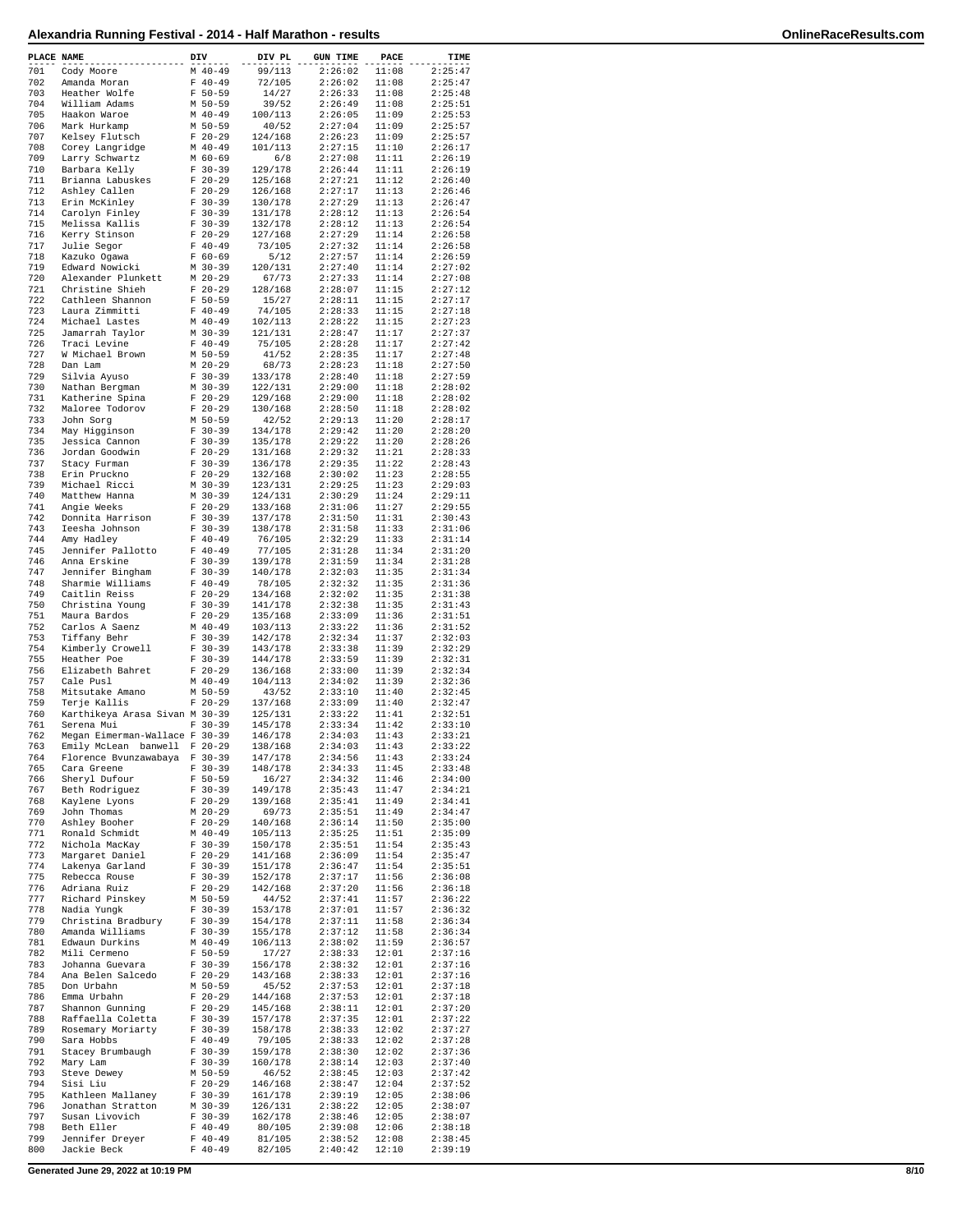| PLACE NAME |                                              | DIV |                          | DIV PL             | <b>GUN TIME</b>    | PACE           | TIME               |
|------------|----------------------------------------------|-----|--------------------------|--------------------|--------------------|----------------|--------------------|
| 701        | Cody Moore                                   |     | $M$ 40-49                | 99/113             | 2:26:02            | 11:08          | 2:25:47            |
| 702<br>703 | Amanda Moran<br>Heather Wolfe                |     | $F 40-49$<br>$F 50-59$   | 72/105<br>14/27    | 2:26:02<br>2:26:33 | 11:08<br>11:08 | 2:25:47<br>2:25:48 |
| 704        | William Adams                                |     | M 50-59                  | 39/52              | 2:26:49            | 11:08          | 2:25:51            |
| 705        | Haakon Waroe                                 |     | $M$ 40-49                | 100/113            | 2:26:05            | 11:09          | 2:25:53            |
| 706<br>707 | Mark Hurkamp<br>Kelsey Flutsch               |     | M 50-59<br>$F$ 20-29     | 40/52<br>124/168   | 2:27:04<br>2:26:23 | 11:09<br>11:09 | 2:25:57<br>2:25:57 |
| 708        | Corey Langridge                              |     | $M$ 40-49                | 101/113            | 2:27:15            | 11:10          | 2:26:17            |
| 709        | Larry Schwartz                               |     | $M$ 60-69                | 6/8                | 2:27:08            | 11:11          | 2:26:19            |
| 710        | Barbara Kelly                                |     | $F 30-39$                | 129/178            | 2:26:44            | 11:11          | 2:26:19            |
| 711<br>712 | Brianna Labuskes<br>Ashley Callen            |     | $F 20-29$<br>$F$ 20-29   | 125/168<br>126/168 | 2:27:21<br>2:27:17 | 11:12<br>11:13 | 2:26:40<br>2:26:46 |
| 713        | Erin McKinley                                |     | $F$ 30-39                | 130/178            | 2:27:29            | 11:13          | 2:26:47            |
| 714        | Carolyn Finley                               |     | $F 30-39$                | 131/178            | 2:28:12            | 11:13          | 2:26:54            |
| 715<br>716 | Melissa Kallis<br>Kerry Stinson              |     | $F 30-39$<br>$F$ 20-29   | 132/178<br>127/168 | 2:28:12<br>2:27:29 | 11:13<br>11:14 | 2:26:54<br>2:26:58 |
| 717        | Julie Segor                                  |     | $F 40-49$                | 73/105             | 2:27:32            | 11:14          | 2:26:58            |
| 718        | Kazuko Ogawa                                 |     | $F 60-69$                | 5/12               | 2:27:57            | 11:14          | 2:26:59            |
| 719        | Edward Nowicki                               |     | $M$ 30-39                | 120/131            | 2:27:40            | 11:14          | 2:27:02            |
| 720<br>721 | Alexander Plunkett<br>Christine Shieh        |     | $M$ 20-29<br>$F 20-29$   | 67/73<br>128/168   | 2:27:33<br>2:28:07 | 11:14<br>11:15 | 2:27:08<br>2:27:12 |
| 722        | Cathleen Shannon                             |     | $F 50-59$                | 15/27              | 2:28:11            | 11:15          | 2:27:17            |
| 723        | Laura Zimmitti                               |     | $F 40-49$                | 74/105             | 2:28:33            | 11:15          | 2:27:18            |
| 724<br>725 | Michael Lastes                               |     | $M$ 40-49                | 102/113            | 2:28:22            | 11:15<br>11:17 | 2:27:23<br>2:27:37 |
| 726        | Jamarrah Taylor<br>Traci Levine              |     | $M$ 30-39<br>$F 40-49$   | 121/131<br>75/105  | 2:28:47<br>2:28:28 | 11:17          | 2:27:42            |
| 727        | W Michael Brown                              |     | M 50-59                  | 41/52              | 2:28:35            | 11:17          | 2:27:48            |
| 728        | Dan Lam                                      |     | $M$ 20-29                | 68/73              | 2:28:23            | 11:18          | 2:27:50            |
| 729<br>730 | Silvia Ayuso<br>Nathan Bergman               |     | $F 30-39$<br>$M$ 30-39   | 133/178<br>122/131 | 2:28:40<br>2:29:00 | 11:18<br>11:18 | 2:27:59<br>2:28:02 |
| 731        | Katherine Spina                              |     | $F$ 20-29                | 129/168            | 2:29:00            | 11:18          | 2:28:02            |
| 732        | Maloree Todorov                              |     | $F 20-29$                | 130/168            | 2:28:50            | 11:18          | 2:28:02            |
| 733        | John Sorg                                    |     | M 50-59                  | 42/52              | 2:29:13            | 11:20          | 2:28:17            |
| 734<br>735 | May Higginson<br>Jessica Cannon              |     | $F 30-39$<br>$F 30-39$   | 134/178<br>135/178 | 2:29:42<br>2:29:22 | 11:20<br>11:20 | 2:28:20<br>2:28:26 |
| 736        | Jordan Goodwin                               |     | $F$ 20-29                | 131/168            | 2:29:32            | 11:21          | 2:28:33            |
| 737        | Stacy Furman                                 |     | $F$ 30-39                | 136/178            | 2:29:35            | 11:22          | 2:28:43            |
| 738<br>739 | Erin Pruckno<br>Michael Ricci                |     | $F 20-29$<br>$M$ 30-39   | 132/168<br>123/131 | 2:30:02<br>2:29:25 | 11:23<br>11:23 | 2:28:55<br>2:29:03 |
| 740        | Matthew Hanna                                |     | $M$ 30-39                | 124/131            | 2:30:29            | 11:24          | 2:29:11            |
| 741        | Angie Weeks                                  |     | $F$ 20-29                | 133/168            | 2:31:06            | 11:27          | 2:29:55            |
| 742        | Donnita Harrison                             |     | $F 30-39$                | 137/178            | 2:31:50            | 11:31          | 2:30:43            |
| 743<br>744 | Ieesha Johnson<br>Amy Hadley                 |     | $F$ 30-39<br>$F 40-49$   | 138/178<br>76/105  | 2:31:58<br>2:32:29 | 11:33<br>11:33 | 2:31:06<br>2:31:14 |
| 745        | Jennifer Pallotto                            |     | $F 40-49$                | 77/105             | 2:31:28            | 11:34          | 2:31:20            |
| 746        | Anna Erskine                                 |     | $F 30-39$                | 139/178            | 2:31:59            | 11:34          | 2:31:28            |
| 747<br>748 | Jennifer Bingham<br>Sharmie Williams         |     | $F 30-39$<br>$F 40-49$   | 140/178<br>78/105  | 2:32:03<br>2:32:32 | 11:35<br>11:35 | 2:31:34<br>2:31:36 |
| 749        | Caitlin Reiss                                |     | $F$ 20-29                | 134/168            | 2:32:02            | 11:35          | 2:31:38            |
| 750        | Christina Young                              |     | $F 30-39$                | 141/178            | 2:32:38            | 11:35          | 2:31:43            |
| 751        | Maura Bardos                                 |     | $F$ 20-29                | 135/168            | 2:33:09            | 11:36          | 2:31:51            |
| 752<br>753 | Carlos A Saenz<br>Tiffany Behr               |     | $M$ 40-49<br>$F 30-39$   | 103/113<br>142/178 | 2:33:22<br>2:32:34 | 11:36<br>11:37 | 2:31:52<br>2:32:03 |
| 754        | Kimberly Crowell                             |     | $F 30-39$                | 143/178            | 2:33:38            | 11:39          | 2:32:29            |
| 755        | Heather Poe                                  |     | $F 30-39$                | 144/178            | 2:33:59            | 11:39          | 2:32:31            |
| 756<br>757 | Elizabeth Bahret<br>Cale Pusl                |     | $F$ 20-29<br>$M$ 40-49   | 136/168<br>104/113 | 2:33:00<br>2:34:02 | 11:39<br>11:39 | 2:32:34<br>2:32:36 |
| 758        | Mitsutake Amano                              |     | M 50-59                  | 43/52              | 2:33:10            | 11:40          | 2:32:45            |
| 759        | Terje Kallis                                 |     | $F 20-29$                | 137/168            | 2:33:09            | 11:40          | 2:32:47            |
| 760<br>761 | Karthikeya Arasa Sivan M 30-39<br>Serena Mui |     | $F 30-39$                | 125/131<br>145/178 | 2:33:22<br>2:33:34 | 11:41<br>11:42 | 2:32:51<br>2:33:10 |
| 762        | Megan Eimerman-Wallace F 30-39               |     |                          | 146/178            | 2:34:03            | 11:43          | 2:33:21            |
| 763        | banwell<br>Emily McLean                      |     | $F 20-29$                | 138/168            | 2:34:03            | 11:43          | 2:33:22            |
| 764<br>765 | Florence Bvunzawabaya<br>Cara Greene         |     | $F 30-39$<br>$F 30-39$   | 147/178<br>148/178 | 2:34:56<br>2:34:33 | 11:43<br>11:45 | 2:33:24<br>2:33:48 |
| 766        | Sheryl Dufour                                |     | $F 50 - 59$              | 16/27              | 2:34:32            | 11:46          | 2:34:00            |
| 767        | Beth Rodriguez                               |     | $F 30-39$                | 149/178            | 2:35:43            | 11:47          | 2:34:21            |
| 768<br>769 | Kaylene Lyons<br>John Thomas                 |     | $F 20-29$<br>$M$ 20-29   | 139/168            | 2:35:41            | 11:49          | 2:34:41            |
| 770        | Ashley Booher                                |     | $F$ 20-29                | 69/73<br>140/168   | 2:35:51<br>2:36:14 | 11:49<br>11:50 | 2:34:47<br>2:35:00 |
| 771        | Ronald Schmidt                               |     | $M$ 40-49                | 105/113            | 2:35:25            | 11:51          | 2:35:09            |
| 772        | Nichola MacKay                               |     | $F 30-39$                | 150/178            | 2:35:51            | 11:54          | 2:35:43            |
| 773<br>774 | Margaret Daniel<br>Lakenya Garland           |     | $F$ 20-29<br>$F 30-39$   | 141/168<br>151/178 | 2:36:09<br>2:36:47 | 11:54<br>11:54 | 2:35:47<br>2:35:51 |
| 775        | Rebecca Rouse                                |     | $F 30-39$                | 152/178            | 2:37:17            | 11:56          | 2:36:08            |
| 776        | Adriana Ruiz                                 |     | $F 20-29$                | 142/168            | 2:37:20            | 11:56          | 2:36:18            |
| 777<br>778 | Richard Pinskey<br>Nadia Yungk               |     | M 50-59<br>$F 30-39$     | 44/52<br>153/178   | 2:37:41<br>2:37:01 | 11:57<br>11:57 | 2:36:22<br>2:36:32 |
| 779        | Christina Bradbury                           |     | $F 30-39$                | 154/178            | 2:37:11            | 11:58          | 2:36:34            |
| 780        | Amanda Williams                              |     | $F 30-39$                | 155/178            | 2:37:12            | 11:58          | 2:36:34            |
| 781        | Edwaun Durkins                               |     | $M$ 40-49                | 106/113            | 2:38:02            | 11:59          | 2:36:57            |
| 782<br>783 | Mili Cermeno<br>Johanna Guevara              |     | $F 50-59$<br>$F 30-39$   | 17/27<br>156/178   | 2:38:33<br>2:38:32 | 12:01<br>12:01 | 2:37:16<br>2:37:16 |
| 784        | Ana Belen Salcedo                            |     | $F$ 20-29                | 143/168            | 2:38:33            | 12:01          | 2:37:16            |
| 785        | Don Urbahn                                   |     | M 50-59                  | 45/52              | 2:37:53            | 12:01          | 2:37:18            |
| 786<br>787 | Emma Urbahn<br>Shannon Gunning               |     | $F 20-29$<br>$F$ 20-29   | 144/168<br>145/168 | 2:37:53<br>2:38:11 | 12:01<br>12:01 | 2:37:18<br>2:37:20 |
| 788        | Raffaella Coletta                            |     | $F 30-39$                | 157/178            | 2:37:35            | 12:01          | 2:37:22            |
| 789        | Rosemary Moriarty                            |     | $F 30-39$                | 158/178            | 2:38:33            | 12:02          | 2:37:27            |
| 790        | Sara Hobbs                                   |     | $F 40-49$                | 79/105             | 2:38:33            | 12:02          | 2:37:28            |
| 791<br>792 | Stacey Brumbaugh<br>Mary Lam                 |     | $F 30-39$<br>$F 30-39$   | 159/178<br>160/178 | 2:38:30<br>2:38:14 | 12:02<br>12:03 | 2:37:36<br>2:37:40 |
| 793        | Steve Dewey                                  |     | M 50-59                  | 46/52              | 2:38:45            | 12:03          | 2:37:42            |
| 794        | Sisi Liu                                     |     | $F 20-29$                | 146/168            | 2:38:47            | 12:04          | 2:37:52            |
| 795<br>796 | Kathleen Mallaney<br>Jonathan Stratton       |     | $F 30-39$<br>M 30-39     | 161/178<br>126/131 | 2:39:19<br>2:38:22 | 12:05<br>12:05 | 2:38:06<br>2:38:07 |
| 797        | Susan Livovich                               |     | $F 30-39$                | 162/178            | 2:38:46            | 12:05          | 2:38:07            |
| 798        | Beth Eller                                   |     | $F 40-49$                | 80/105             | 2:39:08            | 12:06          | 2:38:18            |
| 799<br>800 | Jennifer Dreyer<br>Jackie Beck               |     | $F 40 - 49$<br>$F 40-49$ | 81/105<br>82/105   | 2:38:52<br>2:40:42 | 12:08<br>12:10 | 2:38:45<br>2:39:19 |
|            |                                              |     |                          |                    |                    |                |                    |

**Generated June 29, 2022 at 10:19 PM 8/10**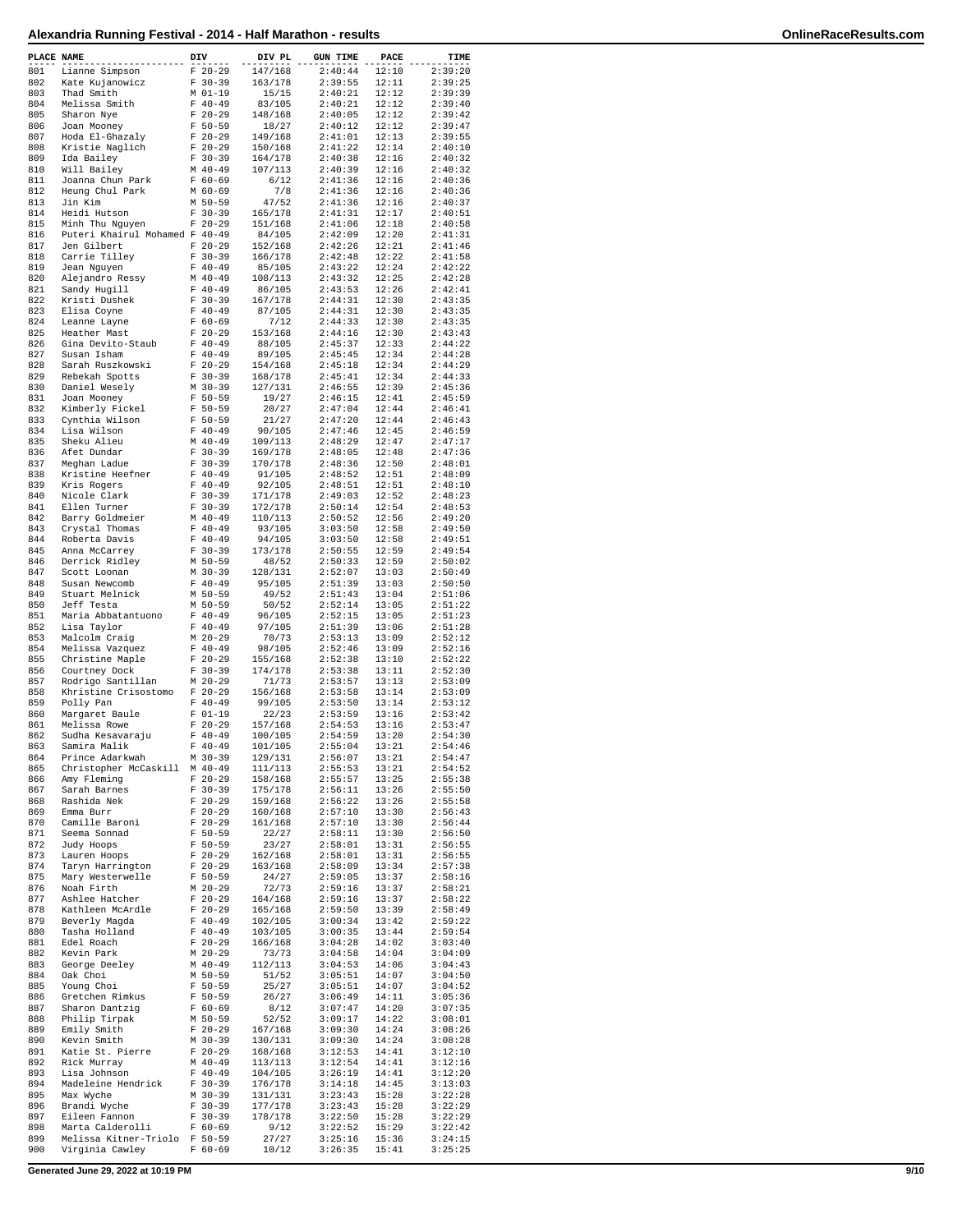| PLACE NAME |                                               | DIV |                          | DIV PL             | <b>GUN TIME</b>    | PACE           | TIME               |
|------------|-----------------------------------------------|-----|--------------------------|--------------------|--------------------|----------------|--------------------|
| 801        | Lianne Simpson                                |     | $F 20-29$                | 147/168            | 2:40:44            | 12:10          | 2:39:20            |
| 802        | Kate Kujanowicz                               |     | $F 30-39$                | 163/178            | 2:39:55            | 12:11          | 2:39:25            |
| 803<br>804 | Thad Smith<br>Melissa Smith                   |     | M 01-19<br>$F 40-49$     | 15/15<br>83/105    | 2:40:21<br>2:40:21 | 12:12<br>12:12 | 2:39:39<br>2:39:40 |
| 805        | Sharon Nye                                    |     | $F$ 20-29                | 148/168            | 2:40:05            | 12:12          | 2:39:42            |
| 806        | Joan Mooney                                   |     | $F 50 - 59$              | 18/27              | 2:40:12            | 12:12          | 2:39:47            |
| 807<br>808 | Hoda El-Ghazaly<br>Kristie Naglich            |     | $F$ 20-29<br>$F$ 20-29   | 149/168<br>150/168 | 2:41:01<br>2:41:22 | 12:13<br>12:14 | 2:39:55<br>2:40:10 |
| 809        | Ida Bailey                                    |     | $F 30-39$                | 164/178            | 2:40:38            | 12:16          | 2:40:32            |
| 810        | Will Bailey                                   |     | $M$ 40-49                | 107/113            | 2:40:39            | 12:16          | 2:40:32            |
| 811<br>812 | Joanna Chun Park                              |     | $F 60 - 69$              | 6/12<br>7/8        | 2:41:36            | 12:16<br>12:16 | 2:40:36            |
| 813        | Heung Chul Park<br>Jin Kim                    |     | $M$ 60-69<br>M 50-59     | 47/52              | 2:41:36<br>2:41:36 | 12:16          | 2:40:36<br>2:40:37 |
| 814        | Heidi Hutson                                  |     | $F 30-39$                | 165/178            | 2:41:31            | 12:17          | 2:40:51            |
| 815        | Minh Thu Nguyen                               |     | $F 20-29$                | 151/168            | 2:41:06            | 12:18          | 2:40:58            |
| 816<br>817 | Puteri Khairul Mohamed F 40-49<br>Jen Gilbert |     | $F 20 - 29$              | 84/105<br>152/168  | 2:42:09<br>2:42:26 | 12:20<br>12:21 | 2:41:31<br>2:41:46 |
| 818        | Carrie Tilley                                 |     | $F 30-39$                | 166/178            | 2:42:48            | 12:22          | 2:41:58            |
| 819        | Jean Nguyen                                   |     | $F 40-49$                | 85/105             | 2:43:22            | 12:24          | 2:42:22            |
| 820        | Alejandro Ressy                               |     | $M$ 40-49                | 108/113            | 2:43:32            | 12:25          | 2:42:28            |
| 821<br>822 | Sandy Hugill<br>Kristi Dushek                 |     | $F 40-49$<br>$F 30-39$   | 86/105<br>167/178  | 2:43:53<br>2:44:31 | 12:26<br>12:30 | 2:42:41<br>2:43:35 |
| 823        | Elisa Coyne                                   |     | $F 40-49$                | 87/105             | 2:44:31            | 12:30          | 2:43:35            |
| 824        | Leanne Layne                                  |     | $F 60 - 69$              | 7/12               | 2:44:33            | 12:30          | 2:43:35            |
| 825<br>826 | Heather Mast<br>Gina Devito-Staub             |     | $F 20-29$<br>$F 40-49$   | 153/168<br>88/105  | 2:44:16<br>2:45:37 | 12:30<br>12:33 | 2:43:43<br>2:44:22 |
| 827        | Susan Isham                                   |     | $F 40 - 49$              | 89/105             | 2:45:45            | 12:34          | 2:44:28            |
| 828        | Sarah Ruszkowski                              |     | $F 20-29$                | 154/168            | 2:45:18            | 12:34          | 2:44:29            |
| 829        | Rebekah Spotts                                |     | $F 30-39$                | 168/178            | 2:45:41            | 12:34          | 2:44:33            |
| 830<br>831 | Daniel Wesely<br>Joan Mooney                  |     | M 30-39<br>$F 50-59$     | 127/131<br>19/27   | 2:46:55<br>2:46:15 | 12:39<br>12:41 | 2:45:36<br>2:45:59 |
| 832        | Kimberly Fickel                               |     | $F 50-59$                | 20/27              | 2:47:04            | 12:44          | 2:46:41            |
| 833        | Cynthia Wilson                                |     | $F 50 - 59$              | 21/27              | 2:47:20            | 12:44          | 2:46:43            |
| 834        | Lisa Wilson                                   |     | $F 40-49$                | 90/105             | 2:47:46            | 12:45          | 2:46:59            |
| 835<br>836 | Sheku Alieu<br>Afet Dundar                    |     | $M$ 40-49<br>$F 30-39$   | 109/113<br>169/178 | 2:48:29<br>2:48:05 | 12:47<br>12:48 | 2:47:17<br>2:47:36 |
| 837        | Meghan Ladue                                  |     | $F 30-39$                | 170/178            | 2:48:36            | 12:50          | 2:48:01            |
| 838        | Kristine Heefner                              |     | $F 40-49$                | 91/105             | 2:48:52            | 12:51          | 2:48:09            |
| 839        | Kris Rogers                                   |     | $F 40-49$                | 92/105             | 2:48:51            | 12:51          | 2:48:10            |
| 840<br>841 | Nicole Clark<br>Ellen Turner                  |     | $F 30-39$<br>$F 30-39$   | 171/178<br>172/178 | 2:49:03<br>2:50:14 | 12:52<br>12:54 | 2:48:23<br>2:48:53 |
| 842        | Barry Goldmeier                               |     | $M$ 40-49                | 110/113            | 2:50:52            | 12:56          | 2:49:20            |
| 843        | Crystal Thomas                                |     | $F 40-49$                | 93/105             | 3:03:50            | 12:58          | 2:49:50            |
| 844        | Roberta Davis                                 |     | $F 40-49$                | 94/105             | 3:03:50            | 12:58          | 2:49:51            |
| 845<br>846 | Anna McCarrey<br>Derrick Ridley               |     | $F 30-39$<br>M 50-59     | 173/178<br>48/52   | 2:50:55<br>2:50:33 | 12:59<br>12:59 | 2:49:54<br>2:50:02 |
| 847        | Scott Loonan                                  |     | $M$ 30-39                | 128/131            | 2:52:07            | 13:03          | 2:50:49            |
| 848        | Susan Newcomb                                 |     | $F 40 - 49$              | 95/105             | 2:51:39            | 13:03          | 2:50:50            |
| 849        | Stuart Melnick                                |     | M 50-59                  | 49/52              | 2:51:43            | 13:04          | 2:51:06            |
| 850<br>851 | Jeff Testa<br>Maria Abbatantuono              |     | M 50-59<br>$F 40-49$     | 50/52<br>96/105    | 2:52:14<br>2:52:15 | 13:05<br>13:05 | 2:51:22<br>2:51:23 |
| 852        | Lisa Taylor                                   |     | $F 40-49$                | 97/105             | 2:51:39            | 13:06          | 2:51:28            |
| 853        | Malcolm Craig                                 |     | $M$ 20-29                | 70/73              | 2:53:13            | 13:09          | 2:52:12            |
| 854        | Melissa Vazquez                               |     | $F 40 - 49$              | 98/105             | 2:52:46            | 13:09          | 2:52:16            |
| 855<br>856 | Christine Maple<br>Courtney Dock              |     | $F 20-29$<br>$F 30-39$   | 155/168<br>174/178 | 2:52:38<br>2:53:38 | 13:10<br>13:11 | 2:52:22<br>2:52:30 |
| 857        | Rodrigo Santillan                             |     | $M$ 20-29                | 71/73              | 2:53:57            | 13:13          | 2:53:09            |
| 858        | Khristine Crisostomo                          |     | $F 20-29$                | 156/168            | 2:53:58            | 13:14          | 2:53:09            |
| 859        | Polly Pan                                     |     | $F 40 - 49$<br>$F 01-19$ | 99/105             | 2:53:50            | 13:14          | 2:53:12            |
| 860<br>861 | Margaret Baule<br>Melissa Rowe                |     | $F 20-29$                | 22/23<br>157/168   | 2:53:59<br>2:54:53 | 13:16<br>13:16 | 2:53:42<br>2:53:47 |
| 862        | Sudha Kesavaraju                              |     | $F 40 - 49$              | 100/105            | 2:54:59            | 13:20          | 2:54:30            |
| 863        | Samira Malik                                  |     | $F 40-49$                | 101/105            | 2:55:04            | 13:21          | 2:54:46            |
| 864        | Prince Adarkwah                               |     | M 30-39                  | 129/131            | 2:56:07<br>2:55:53 | 13:21          | 2:54:47            |
| 865<br>866 | Christopher McCaskill M 40-49<br>Amy Fleming  |     | $F 20-29$                | 111/113<br>158/168 | 2:55:57            | 13:21<br>13:25 | 2:54:52<br>2:55:38 |
| 867        | Sarah Barnes                                  |     | $F 30-39$                | 175/178            | 2:56:11            | 13:26          | 2:55:50            |
| 868        | Rashida Nek                                   |     | $F 20-29$                | 159/168            | 2:56:22            | 13:26          | 2:55:58            |
| 869<br>870 | Emma Burr<br>Camille Baroni                   |     | $F 20-29$<br>$F$ 20-29   | 160/168<br>161/168 | 2:57:10<br>2:57:10 | 13:30<br>13:30 | 2:56:43<br>2:56:44 |
| 871        | Seema Sonnad                                  |     | $F 50-59$                | 22/27              | 2:58:11            | 13:30          | 2:56:50            |
| 872        | Judy Hoops                                    |     | $F 50 - 59$              | 23/27              | 2:58:01            | 13:31          | 2:56:55            |
| 873<br>874 | Lauren Hoops<br>Taryn Harrington              |     | $F$ 20-29<br>$F 20-29$   | 162/168<br>163/168 | 2:58:01<br>2:58:09 | 13:31<br>13:34 | 2:56:55<br>2:57:38 |
| 875        | Mary Westerwelle                              |     | $F 50 - 59$              | 24/27              | 2:59:05            | 13:37          | 2:58:16            |
| 876        | Noah Firth                                    |     | M 20-29                  | 72/73              | 2:59:16            | 13:37          | 2:58:21            |
| 877        | Ashlee Hatcher                                |     | $F 20-29$                | 164/168            | 2:59:16            | 13:37          | 2:58:22            |
| 878<br>879 | Kathleen McArdle<br>Beverly Magda             |     | $F$ 20-29<br>$F 40-49$   | 165/168<br>102/105 | 2:59:50<br>3:00:34 | 13:39<br>13:42 | 2:58:49<br>2:59:22 |
| 880        | Tasha Holland                                 |     | $F 40-49$                | 103/105            | 3:00:35            | 13:44          | 2:59:54            |
| 881        | Edel Roach                                    |     | $F 20-29$                | 166/168            | 3:04:28            | 14:02          | 3:03:40            |
| 882        | Kevin Park                                    |     | M 20-29                  | 73/73              | 3:04:58            | 14:04          | 3:04:09            |
| 883<br>884 | George Deeley<br>Oak Choi                     |     | $M$ 40-49<br>M 50-59     | 112/113<br>51/52   | 3:04:53<br>3:05:51 | 14:06<br>14:07 | 3:04:43<br>3:04:50 |
| 885        | Young Choi                                    |     | F 50-59                  | 25/27              | 3:05:51            | 14:07          | 3:04:52            |
| 886        | Gretchen Rimkus                               |     | F 50-59                  | 26/27              | 3:06:49            | 14:11          | 3:05:36            |
| 887        | Sharon Dantzig                                |     | $F 60-69$                | 8/12               | 3:07:47            | 14:20          | 3:07:35            |
| 888<br>889 | Philip Tirpak<br>Emily Smith                  |     | M 50-59<br>$F$ 20-29     | 52/52<br>167/168   | 3:09:17<br>3:09:30 | 14:22<br>14:24 | 3:08:01<br>3:08:26 |
| 890        | Kevin Smith                                   |     | $M$ 30-39                | 130/131            | 3:09:30            | 14:24          | 3:08:28            |
| 891        | Katie St. Pierre                              |     | $F$ 20-29                | 168/168            | 3:12:53            | 14:41          | 3:12:10            |
| 892        | Rick Murray                                   |     | $M$ 40-49                | 113/113            | 3:12:54            | 14:41          | 3:12:16            |
| 893<br>894 | Lisa Johnson<br>Madeleine Hendrick            |     | $F 40-49$<br>F 30-39     | 104/105<br>176/178 | 3:26:19<br>3:14:18 | 14:41<br>14:45 | 3:12:20<br>3:13:03 |
| 895        | Max Wyche                                     |     | M 30-39                  | 131/131            | 3:23:43            | 15:28          | 3:22:28            |
| 896        | Brandi Wyche                                  |     | $F 30-39$                | 177/178            | 3:23:43            | 15:28          | 3:22:29            |
| 897<br>898 | Eileen Fannon<br>Marta Calderolli             |     | $F 30-39$<br>$F 60-69$   | 178/178<br>9/12    | 3:22:50<br>3:22:52 | 15:28<br>15:29 | 3:22:29<br>3:22:42 |
| 899        | Melissa Kitner-Triolo F 50-59                 |     |                          | 27/27              | 3:25:16            | 15:36          | 3:24:15            |
| 900        | Virginia Cawley                               |     | $F 60-69$                | 10/12              | 3:26:35            | 15:41          | 3:25:25            |